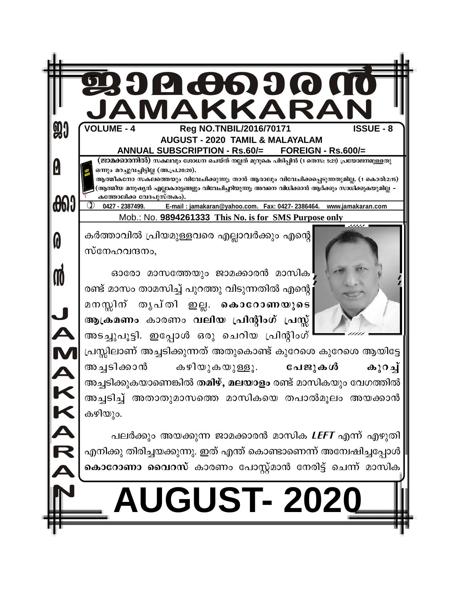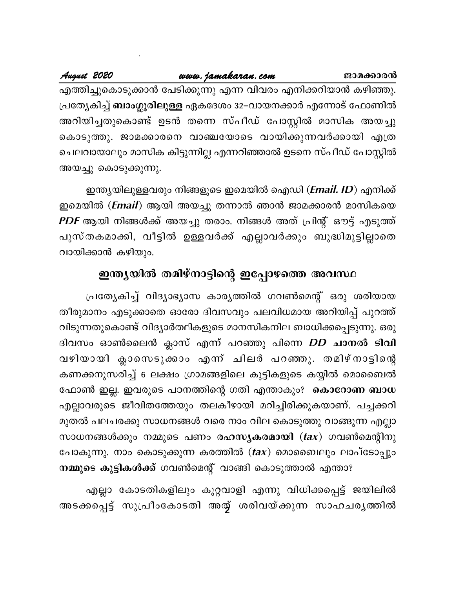August 2020

എത്തിച്ചുകൊടുക്കാൻ പേടിക്കുന്നു എന്ന വിവരം എനിക്കറിയാൻ കഴിഞ്ഞു. പ്രത്യേകിച്ച് **ബാംഗ്ലൂരിലുള്ള** ഏകദേശം 32–വായനക്കാർ എന്നോട് ഫോണിൽ അറിയിച്ചതുകൊണ്ട് ഉടൻ തന്നെ സ്പീഡ് പോസ്റ്റിൽ മാസിക അയച്ചു കൊടുത്തു. ജാമക്കാരനെ വാഞ്ചയോടെ വായിക്കുന്നവർക്കായി എത്ര ചെലവായാലും മാസിക കിട്ടുന്നില്ല എന്നറിഞ്ഞാൽ ഉടനെ സ്പീഡ് പോസ്റ്റിൽ അയച്ചു കൊടുക്കുന്നു.

ഇന്ത്യയിലുള്ളവരും നിങ്ങളുടെ ഇമെയിൽ ഐഡി (*Email. ID*) എനിക്ക് ഇമെയിൽ (*Email*) ആയി അയച്ചു തന്നാൽ ഞാൻ ജാമക്കാരൻ മാസികയെ *PDF* ആയി നിങ്ങൾക്ക് അയച്ചു തരാം. നിങ്ങൾ അത് പ്രിന്റ് ഔട്ട് എടുത്ത് പുസ്തകമാക്കി, വീട്ടിൽ ഉള്ളവർക്ക് എല്ലാവർക്കും ബുദ്ധിമുട്ടില്ലാതെ വായിക്കാൻ കഴിയും.

# ഇന്ത്യയിൽ തമിഴ്നാട്ടിന്റെ ഇപ്പോഴത്തെ അവസ്ഥ

പ്രത്യേകിച്ച് വിദ്യാഭ്യാസ കാര്യത്തിൽ ഗവൺമെന്റ് ഒരു ശരിയായ തീരുമാനം എടുക്കാതെ ഓരോ ദിവസവും പലവിധമായ അറിയിപ്പ് പുറത്ത് വിടുന്നതുകൊണ്ട് വിദ്യാർത്ഥികളുടെ മാനസികനില ബാധിക്കപ്പെടുന്നു. ഒരു ദിവസം ഓൺലൈൻ ക്ലാസ് എന്ന് പറഞ്ഞു പിന്നെ *DD* ചാനൽ ടിവി വഴിയായി ക്ലാസെടുക്കാം എന്ന് ചിലർ പറഞ്ഞു. തമിഴ്നാട്ടിന്റെ കണക്കനുസരിച്ച് 6 ലക്ഷം ഗ്രാമങ്ങളിലെ കുട്ടികളുടെ കയ്യിൽ മൊബൈൽ ഫോൺ ഇല്ല. ഇവരുടെ പഠനത്തിന്റെ ഗതി എന്താകും? കൊറോണ ബാധ എല്ലാവരുടെ ജീവിതത്തേയും തലകീഴായി മറിച്ചിരിക്കുകയാണ്. പച്ചക്കറി മുതൽ പലചരക്കു സാധനങ്ങൾ വരെ നാം വില കൊടുത്തു വാങ്ങുന്ന എല്ലാ സാധനങ്ങൾക്കും നമ്മുടെ പണം രഹസ്യകരമായി  $({\bf tax})$  ഗവൺമെന്റിനു പോകുന്നു. നാം കൊടുക്കുന്ന കരത്തിൽ (tax) മൊബൈലും ലാപ്ടോപ്പും നമ്മുടെ കുട്ടികൾക്ക് ഗവൺമെന്റ് വാങ്ങി കൊടുത്താൽ എന്താ?

എല്ലാ കോടതികളിലും കുറ്റവാളി എന്നു വിധിക്കപ്പെട്ട് ജയിലിൽ അടക്കപ്പെട്ട് സുപ്രീംകോടതി അത് ശരിവയ്ക്കുന്ന സാഹചര്യത്തിൽ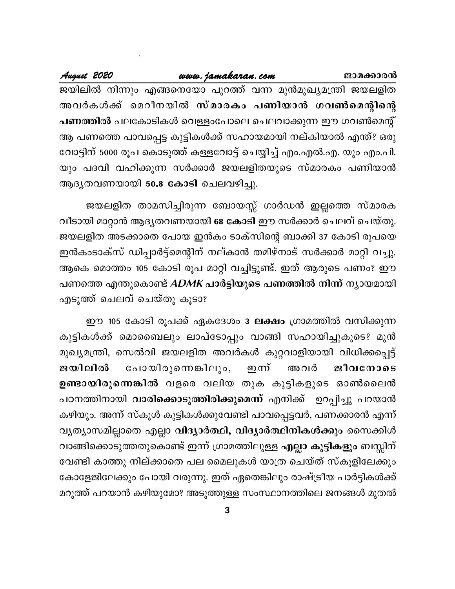ജാമക്കാരൻ

### www.jamakaran.com

August 2020

ജയിലിൽ നിന്നും എങ്ങനെയോ പുറത്ത് വന്ന മുൻമുഖ്യമന്ത്രി ജയലളിത അവർകൾക്ക് മെറീനയിൽ സ്മാരകം പണിയാൻ ഗവൺമെന്റിന്റെ പണത്തിൽ പലകോടികൾ വെള്ളംപോലെ ചെലവാക്കുന്ന ഈ ഗവൺമെന്റ് ആ പണത്തെ പാവപ്പെട്ട കുട്ടികൾക്ക് സഹായമായി നല്കിയാൽ എന്ത്? ഒരു വോട്ടിന് 5000 രൂപ കൊടുത്ത് കള്ളവോട്ട് ചെയ്യിച്ച് എം.എൽ.എ. യും എം.പി. യും പദവി വഹിക്കുന്ന സർക്കാർ ജയലളിതയുടെ സ്മാരകം പണിയാൻ ആദൃതവണയായി 50.8 കോടി ചെലവഴിച്ചു.

ജയലളിത താമസിച്ചിരുന്ന ബോയസ്സ് ഗാർഡൻ ഇല്ലത്തെ സ്മാരക വീടായി മാറ്റാൻ ആദൃതവണയായി 68 കോടി ഈ സർക്കാർ ചെലവ് ചെയ്തു. ജയലളിത അടക്കാതെ പോയ ഇൻകം ടാക്സിന്റെ ബാക്കി 37 കോടി രൂപയെ ഇൻകംടാക്സ് ഡിപ്പാർട്ട്മെന്റിന് നല്കാൻ തമിഴ്നാട് സർക്കാർ മാറ്റി വച്ചു. ആകെ മൊത്തം 105 കോടി രൂപ മാറ്റി വച്ചിട്ടുണ്ട്. ഇത് ആരുടെ പണം? ഈ പണത്തെ എന്തുകൊണ്ട് *ADMK* പാർട്ടിയുടെ പണത്തിൽ നിന്ന് ന്യായമായി എടുത്ത് ചെലവ് ചെയ്തു കൂടാ?

ഈ 105 കോടി രൂപക്ക് ഏകദേശം 3 ലക്ഷം ഗ്രാമത്തിൽ വസിക്കുന്ന കുട്ടികൾക്ക് മൊബൈലും ലാപ്ടോപ്പും വാങ്ങി സഹായിച്ചുകൂടെ? മുൻ മുഖ്യമന്ത്രി, സെൽവി ജയലളിത അവർകൾ കുറ്റവാളിയായി വിധിക്കപ്പെട്ട് പോയിരുന്നെങ്കിലും, ജയിലിൽ ഇന്ന് അവർ ജീവനോടെ ഉണ്ടായിരുന്നെങ്കിൽ വളരെ വലിയ തുക കുട്ടികളുടെ ഓൺലൈൻ പഠനത്തിനായി വാരിക്കൊടുത്തിരിക്കുമെന്ന് എനിക്ക് ഉറപ്പിച്ചു പറയാൻ കഴിയും. അന്ന് സ്കൂൾ കുട്ടികൾക്കുവേണ്ടി പാവപ്പെട്ടവർ, പണക്കാരൻ എന്ന് വൃത്യാസമില്ലാതെ എല്ലാ വിദ്യാർത്ഥി, വിദ്യാർത്ഥിനികൾക്കും സൈക്കിൾ വാങ്ങിക്കൊടുത്തതുകൊണ്ട് ഇന്ന് ഗ്രാമത്തിലുള്ള <mark>എല്ലാ കുട്ടികളും</mark> ബസ്സിന് വേണ്ടി കാത്തു നില്ക്കാതെ പല മൈലുകൾ യാത്ര ചെയ്ത് സ്കൂളിലേക്കും കോളേജിലേക്കും പോയി വരുന്നു. ഇത് ഏതെങ്കിലും രാഷ്ട്രീയ പാർട്ടികൾക്ക് മറുത്ത് പറയാൻ കഴിയുമോ? അടുത്തുള്ള സംസ്ഥാനത്തിലെ ജനങ്ങൾ മുതൽ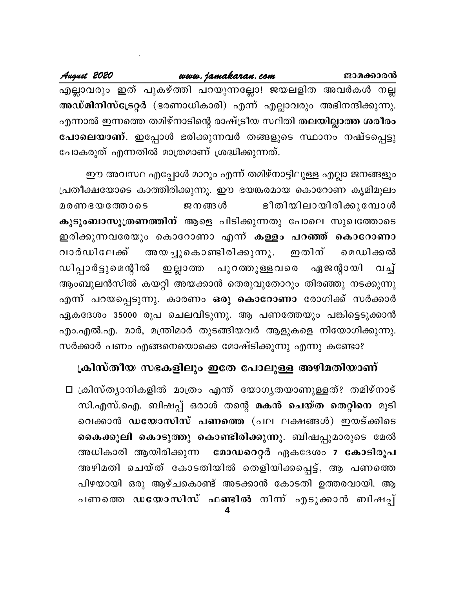.<br>എല്ലാവരും ഇത് പുകഴ്ത്തി പറയുന്നല്ലോ! ജയലളിത അവർകൾ നല്ല അഡ്മിനിസ്ട്രേറ്റർ (ഭരണാധികാരി) എന്ന് എല്ലാവരും അഭിനന്ദിക്കുന്നു. എന്നാൽ ഇന്നത്തെ തമിഴ്നാടിന്റെ രാഷ്ട്രീയ സ്ഥിതി തലയില്ലാത്ത ശരീരം പോലെയാണ്. ഇപ്പോൾ ഭരിക്കുന്നവർ തങ്ങളുടെ സ്ഥാനം നഷ്ടപ്പെട്ടു പോകരുത് എന്നതിൽ മാത്രമാണ് ശ്രദ്ധിക്കുന്നത്.

ഈ അവസ്ഥ എപ്പോൾ മാറും എന്ന് തമിഴ്നാട്ടിലുള്ള എല്ലാ ജനങ്ങളും പ്രതീക്ഷയോടെ കാത്തിരിക്കുന്നു. ഈ ഭയങ്കരമായ കൊറോണ കൃമിമൂലം ഭീതിയിലായിരിക്കുമ്പോൾ ജനങ്ങൾ മരണഭയത്തോടെ കുടുംബാസൂത്രണത്തിന് ആളെ പിടിക്കുന്നതു പോലെ സുഖത്തോടെ ഇരിക്കുന്നവരേയും കൊറോണാ എന്ന് <mark>കള്ളം പറഞ്ഞ് കൊറോണാ</mark> അയച്ചുകൊണ്ടിരിക്കുന്നു. വാർഡിലേക്ക് ഇതിന് മെഡിക്കൽ ഡിപ്പാർട്ടുമെന്റിൽ പുറത്തുള<u>്</u>ളവരെ ഏജന്റായി ഇല്ലാത്ത വച് ആംബുലൻസിൽ കയറ്റി അയക്കാൻ തെരുവുതോറും തിരഞ്ഞു നടക്കുന്നു എന്ന് പറയപ്പെടുന്നു. കാരണം ഒരു കൊറോണാ രോഗിക്ക് സർക്കാർ ഏകദേശം 35000 രൂപ ചെലവിടുന്നു. ആ പണത്തേയും പങ്കിട്ടെടുക്കാൻ എം.എൽ.എ. മാർ, മന്ത്രിമാർ തുടങ്ങിയവർ ആളുകളെ നിയോഗിക്കുന്നു.

സർക്കാർ പണം എങ്ങനെയൊക്കെ മോഷ്ടിക്കുന്നു എന്നു കണ്ടോ?

# ക്രിസ്തീയ സഭകളിലും ഇതേ പോലുള്ള അഴിമതിയാണ്

□ ക്രിസ്ത്യാനികളിൽ മാത്രം എന്ത് യോഗ്യതയാണുള്ളത്? തമിഴ്നാട് സി.എസ്.ഐ. ബിഷപ്പ് ഒരാൾ തന്റെ മകൻ ചെയ്ത തെറ്റിനെ മൂടി വെക്കാൻ ഡയോസിസ് പണത്തെ (പല ലക്ഷങ്ങൾ) ഇയട്ക്കിടെ കൈക്കൂലി കൊടുത്തു കൊണ്ടിരിക്കുന്നു. ബിഷപ്പുമാരുടെ മേൽ അധികാരി ആയിരിക്കുന്ന - മോഡറെറ്റർ ഏകദേശം 7 കോടിരൂപ അഴിമതി ചെയ്ത് കോടതിയിൽ തെളിയിക്കപ്പെട്ട്, ആ പണത്തെ പിഴയായി ഒരു ആഴ്ചകൊണ്ട് അടക്കാൻ കോടതി ഉത്തരവായി. ആ പണത്തെ ഡയോസിസ് ഫണ്ടിൽ നിന്ന് എടുക്കാൻ ബിഷപ്പ്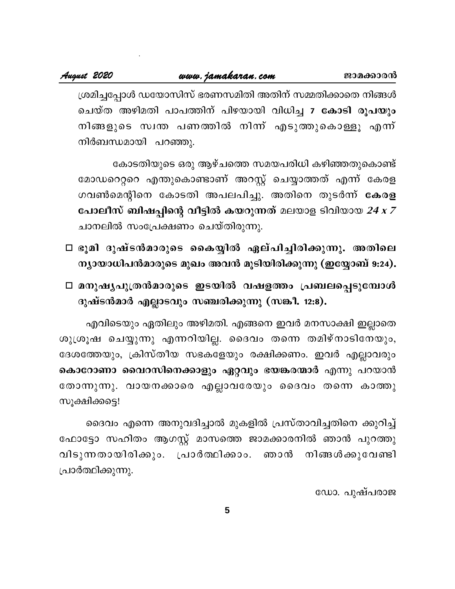ശ്രമിച്ചപ്പോൾ ഡയോസിസ് ഭരണസമിതി അതിന് സമ്മതിക്കാതെ നിങ്ങൾ ചെയ്ത അഴിമതി പാപത്തിന് പിഴയായി വിധിച്ച 7 കോടി രൂപയും നിങ്ങളുടെ സ്വന്ത പണത്തിൽ നിന്ന് എടുത്തുകൊള്ളൂ എന്ന് നിർബന്ധമായി പറഞ്ഞു.

കോടതിയുടെ ഒരു ആഴ്ചത്തെ സമയപരിധി കഴിഞ്ഞതുകൊണ്ട് മോഡറെറ്ററെ എന്തുകൊണ്ടാണ് അറസ്റ്റ് ചെയ്യാത്തത് എന്ന് കേരള ഗവൺമെന്റിനെ കോടതി അപലപിച്ചു. അതിനെ തുടർന്ന് കേരള പോലീസ് ബിഷപ്പിന്റെ വീട്ടിൽ കയറുന്നത് മലയാള ടിവിയായ 24 x 7 ചാനലിൽ സംപ്രേക്ഷണം ചെയ്തിരുന്നു.

- □ ഭൂമി ദുഷ്ടൻമാരുടെ കൈയ്യിൽ ഏല്പിച്ചിരിക്കുന്നു. അതിലെ ന്യായാധിപൻമാരുടെ മുഖം അവൻ മൂടിയിരിക്കുന്നു (ഇയ്യോബ് 9:24).
- □ മനുഷൃപുത്രൻമാരുടെ ഇടയിൽ വഷളത്തം പ്രബലപ്പെടുമ്പോൾ ദുഷ്ടൻമാർ എല്ലാടവും സഞ്ചരിക്കുന്നു (സങ്കീ. 12:8).

എവിടെയും ഏതിലും അഴിമതി. എങ്ങനെ ഇവർ മനസാക്ഷി ഇല്ലാതെ ശുശ്രൂഷ ചെയ്യുന്നു എന്നറിയില്ല. ദൈവം തന്നെ തമിഴ്നാടിനേയും, ദേശത്തേയും, ക്രിസ്തീയ സഭകളേയും രക്ഷിക്കണം. ഇവർ എല്ലാവരും കൊറോണാ വൈറസിനെക്കാളും ഏറ്റവും ഭയങ്കരന്മാർ എന്നു പറയാൻ തോന്നുന്നു. വായനക്കാരെ എല്ലാവരേയും ദൈവം തന്നെ കാത്തു സൂക്ഷിക്കട്ടെ!

ദൈവം എന്നെ അനുവദിച്ചാൽ മുകളിൽ പ്രസ്താവിച്ചതിനെ ക്കുറിച്ച് ഫോട്ടോ സഹിതം ആഗസ്റ്റ് മാസത്തെ ജാമക്കാരനിൽ ഞാൻ പുറത്തു വിടുന്നതായിരിക്കും. പ്രാർത്ഥിക്കാം. ഞാൻ നിങ്ങൾക്കുവേണ്ടി പ്രാർത്ഥിക്കുന്നു.

ഡോ. പുഷ്പരാജ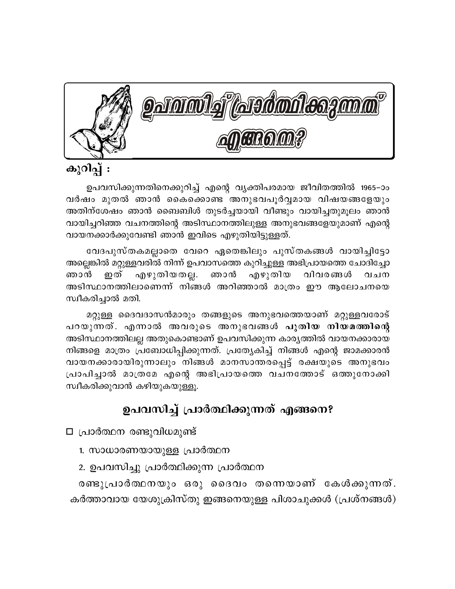

# കുറിപ്പ് :

ഉപവസിക്കുന്നതിനെക്കുറിച്ച് എന്റെ വ്യക്തിപരമായ ജീവിതത്തിൽ 1965–ാം വർഷം മുതൽ ഞാൻ കൈക്കൊണ്ട അനുഭവപൂർവ്വമായ വിഷയങ്ങളേയും അതിന്ശേഷം ഞാൻ ബൈബിൾ തുടർച്ചയായി വീണ്ടും വായിച്ചതുമൂലം ഞാൻ വായിച്ചറിഞ്ഞ വചനത്തിന്റെ അടിസ്ഥാനത്തിലുള്ള അനുഭവങ്ങളേയുമാണ് എന്റെ വായനക്കാർക്കുവേണ്ടി ഞാൻ ഇവിടെ എഴുതിയിട്ടുള്ളത്.

വേദപുസ്തകമല്ലാതെ വേറെ ഏതെങ്കിലും പുസ്തകങ്ങൾ വായിച്ചിട്ടോ അല്ലെങ്കിൽ മറ്റുള്ളവരിൽ നിന്ന് ഉപവാസത്തെ കുറിച്ചുള്ള അഭിപ്രായത്തെ ചോദിച്ചോ ഞാൻ ഇത് എഴുതിയതല്ല. ഞാൻ എഴുതിയ വിവരങ്ങൾ വചന അടിസ്ഥാനത്തിലാണെന്ന് നിങ്ങൾ അറിഞ്ഞാൽ മാത്രം ഈ ആലോചനയെ സ്വീകരിച്ചാൽ മതി.

മറ്റുള്ള ദൈവദാസൻമാരും തങ്ങളുടെ അനുഭവത്തെയാണ് മറ്റുള്ളവരോട് പറയുന്നത്. എന്നാൽ അവരുടെ അനുഭവങ്ങൾ പുതിയ നിയമത്തിന്റെ അടിസ്ഥാനത്തിലല്ല അതുകൊണ്ടാണ് ഉപവസിക്കുന്ന കാരൃത്തിൽ വായനക്കാരായ നിങ്ങളെ മാത്രം പ്രബോധിപ്പിക്കുന്നത്. പ്രത്യേകിച്ച് നിങ്ങൾ എന്റെ ജാമക്കാരൻ വായനക്കാരായിരുന്നാലും നിങ്ങൾ മാനസാന്തരപ്പെട്ട് രക്ഷയുടെ അനുഭവം പ്രാപിച്ചാൽ മാത്രമേ എന്റെ അഭിപ്രായത്തെ വചനത്തോട് ഒത്തുനോക്കി സ്വീകരിക്കുവാൻ കഴിയുകയുള്ളു.

# ഉപവസിച്ച് പ്രാർത്ഥിക്കുന്നത് എങ്ങനെ?

- $\square$  പ്രാർത്ഥന രണ്ടുവിധമുണ്ട്
	- 1. സാധാരണയായുള്ള പ്രാർത്ഥന
	- 2. ഉപവസിച്ചു പ്രാർത്ഥിക്കുന്ന പ്രാർത്ഥന

രണ്ടുപ്രാർത്ഥനയും ഒരു ദൈവം തന്നെയാണ് കേൾക്കുന്നത്. കർത്താവായ യേശുക്രിസ്തു ഇങ്ങനെയുള്ള പിശാചുക്കൾ (പ്രശ്നങ്ങൾ)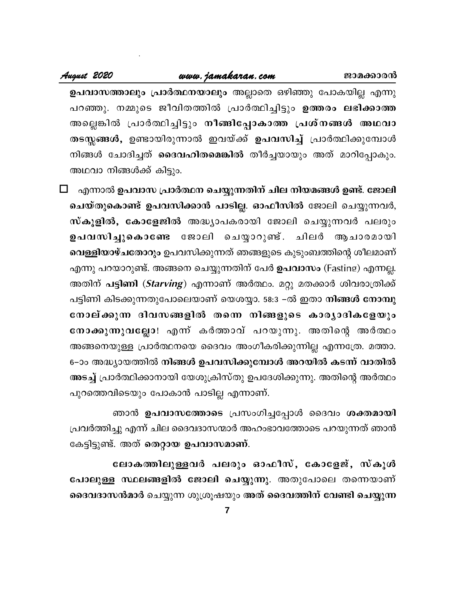ഉപവാസത്താലും പ്രാർത്ഥനയാലും അല്ലാതെ ഒഴിഞ്ഞു പോകയില്ല എന്നു പറഞ്ഞു. നമ്മുടെ ജീവിതത്തിൽ പ്രാർത്ഥിച്ചിട്ടും ഉത്തരം ലഭിക്കാത്ത അല്ലെങ്കിൽ പ്രാർത്ഥിച്ചിട്ടും <mark>നീങ്ങിപ്പോകാത്ത പ്രശ്നങ്ങൾ അഥവാ</mark> തടസ്സങ്ങൾ, ഉണ്ടായിരുന്നാൽ ഇവയ്ക്ക് ഉപവസിച്ച് പ്രാർത്ഥിക്കുമ്പോൾ നിങ്ങൾ ചോദിച്ചത് <mark>ദൈവഹിതമെങ്കിൽ</mark> തീർച്ചയായും അത് മാറിപ്പോകും. അഥവാ നിങ്ങൾക്ക് കിട്ടും.

 $\Box$  എന്നാൽ ഉപവാസ പ്രാർത്ഥന ചെയ്യുന്നതിന് ചില നിയമങ്ങൾ ഉണ്ട്. ജോലി ചെയ്തുകൊണ്ട് ഉപവസിക്കാൻ പാടില്ല. ഓഫീസിൽ ജോലി ചെയ്യുന്നവർ, സ്കൂളിൽ, കോളേജിൽ അദ്ധ്യാപകരായി ജോലി ചെയ്യുന്നവർ പലരും ഉപവസിച്ചുകൊണ്ടേ ജോലി ചെയ്യാറുണ്ട്. ചിലർ ആചാരമായി വെള്ളിയാഴ്ചതോറും ഉപവസിക്കുന്നത് ഞങ്ങളുടെ കുടുംബത്തിന്റെ ശീലമാണ് എന്നു പറയാറുണ്ട്. അങ്ങനെ ചെയ്യുന്നതിന് പേർ <mark>ഉപവാസം</mark> (Fasting) എന്നല്ല. അതിന് <mark>പട്ടിണി</mark> (*Starving*) എന്നാണ് അർത്ഥം. മറ്റു മതക്കാർ ശിവരാത്രിക്ക് പട്ടിണി കിടക്കുന്നതുപോലെയാണ് യെശയ്യാ. 58:3 −ൽ ഇതാ നിങ്ങൾ നോമ്പു നോല്ക്കുന്ന ദിവസങ്ങളിൽ തന്നെ നിങ്ങളുടെ കാര്യാദികളേയും നോക്കുന്നുവല്ലോ! എന്ന് കർത്താവ് പറയുന്നു. അതിന്റെ അർത്ഥം അങ്ങനെയുള്ള പ്രാർത്ഥനയെ ദൈവം അംഗീകരിക്കുന്നില്ല എന്നത്രേ. മത്താ. 6–ാം അദ്ധ്യായത്തിൽ നിങ്ങൾ ഉപവസിക്കുമ്പോൾ അറയിൽ കടന്ന് വാതിൽ അടച്ച് പ്രാർത്ഥിക്കാനായി യേശുക്രിസ്തു ഉപദേശിക്കുന്നു. അതിന്റെ അർത്ഥം പുറത്തെവിടെയും പോകാൻ പാടില്ല എന്നാണ്.

ഞാൻ ഉപവാസത്തോടെ പ്രസംഗിച്ചപ്പോൾ ദൈവം ശക്തമായി പ്രവർത്തിച്ചു എന്ന് ചില ദൈവദാസന്മാർ അഹംഭാവത്തോടെ പറയുന്നത് ഞാൻ കേട്ടിട്ടുണ്ട്. അത് തെറ്റായ ഉപവാസമാണ്.

ലോകത്തിലുള്ളവർ പലരും ഓഫീസ്, കോളേജ്, സ്കൂൾ പോലുള്ള സ്ഥലങ്ങളിൽ ജോലി ചെയ്യുന്നു. അതുപോലെ തന്നെയാണ് ദൈവദാസൻമാർ ചെയ്യുന്ന ശുശ്രൂഷയും അത് ദൈവത്തിന് വേണ്ടി ചെയ്യുന്ന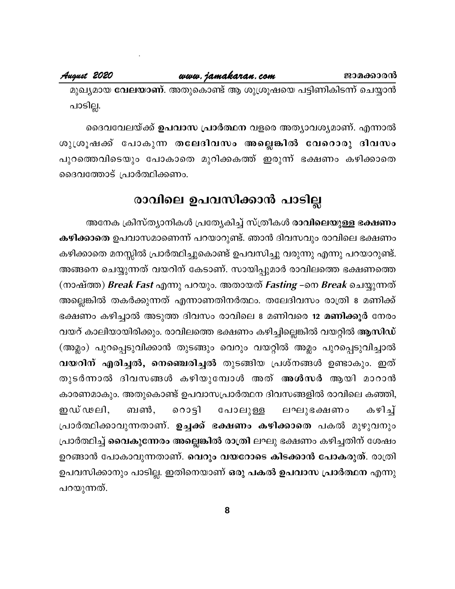മുഖ്യമായ **വേലയാണ്**. അതുകൊണ്ട് ആ ശുശ്രൂഷയെ പട്ടിണികിടന്ന് ചെയ്യാൻ പാടില്ല.

ദൈവവേലയ്ക്ക് ഉപവാസ പ്രാർത്ഥന വളരെ അത്യാവശ്യമാണ്. എന്നാൽ ശുശ്രൂഷക്ക് പോകുന്ന തലേദിവസം അല്ലെങ്കിൽ വേറൊരു ദിവസം പുറത്തെവിടെയും പോകാതെ മുറിക്കകത്ത് ഇരുന്ന് ഭക്ഷണം കഴിക്കാതെ ദൈവത്തോട് പ്രാർത്ഥിക്കണം.

# രാവിലെ ഉപവസിക്കാൻ പാടില്ല

അനേക ക്രിസ്ത്യാനികൾ പ്രത്യേകിച്ച് സ്ത്രീകൾ രാവിലെയുള്ള ഭക്ഷണം കഴിക്കാതെ ഉപവാസമാണെന്ന് പറയാറുണ്ട്. ഞാൻ ദിവസവും രാവിലെ ഭക്ഷണം കഴിക്കാതെ മനസ്സിൽ പ്രാർത്ഥിച്ചുകൊണ്ട് ഉപവസിച്ചു വരുന്നു എന്നു പറയാറുണ്ട്. അങ്ങനെ ചെയ്യുന്നത് വയറിന് കേടാണ്. സായിപ്പുമാർ രാവിലത്തെ ഭക്ഷണത്തെ (നാഷ്ത്ത) Break Fast എന്നു പറയും. അതായത് Fasting –നെ Break ചെയ്യുന്നത് അല്ലെങ്കിൽ തകർക്കുന്നത് എന്നാണതിനർത്ഥം. തലേദിവസം രാത്രി 8 മണിക്ക് ഭക്ഷണം കഴിച്ചാൽ അടുത്ത ദിവസം രാവിലെ 8 മണിവരെ <mark>12 മണിക്കൂ</mark>ർ നേരം വയറ് കാലിയായിരിക്കും. രാവിലത്തെ ഭക്ഷണം കഴിച്ചില്ലെങ്കിൽ വയറ്റിൽ ആസിഡ് (അമ്ലം) പുറപ്പെടുവിക്കാൻ തുടങ്ങും വെറും വയറ്റിൽ അമ്ലം പുറപ്പെടുവിച്ചാൽ വയറിന് എരിച്ചൽ, നെഞ്ചെരിച്ചൽ തുടങ്ങിയ പ്രശ്നങ്ങൾ ഉണ്ടാകും. ഇത് തുടർന്നാൽ ദിവസങ്ങൾ കഴിയുമ്പോൾ അത് <mark>അൾസർ</mark> ആയി മാറാൻ കാരണമാകും. അതുകൊണ്ട് ഉപവാസപ്രാർത്ഥന ദിവസങ്ങളിൽ രാവിലെ കഞ്ഞി, കഴിച്ച് ഇഡ് ഢലി, ബൺ. റൊട്ടി പോലുള്ള ലഘുഭക്ഷണം പ്രാർത്ഥിക്കാവുന്നതാണ്. <mark>ഉച്ചക്ക് ഭക്ഷണം കഴിക്കാതെ</mark> പകൽ മുഴുവനും പ്രാർത്ഥിച്ച് **വൈകുന്നേരം അല്ലെങ്കിൽ രാത്രി** ലഘു ഭക്ഷണം കഴിച്ചതിന് ശേഷം ഉറങ്ങാൻ പോകാവുന്നതാണ്. വെറും വയറോടെ കിടക്കാൻ പോകരുത്. രാത്രി ഉപവസിക്കാനും പാടില്ല. ഇതിനെയാണ് ഒരു പകൽ ഉപവാസ പ്രാർത്ഥന എന്നു പറയുന്നത്.

8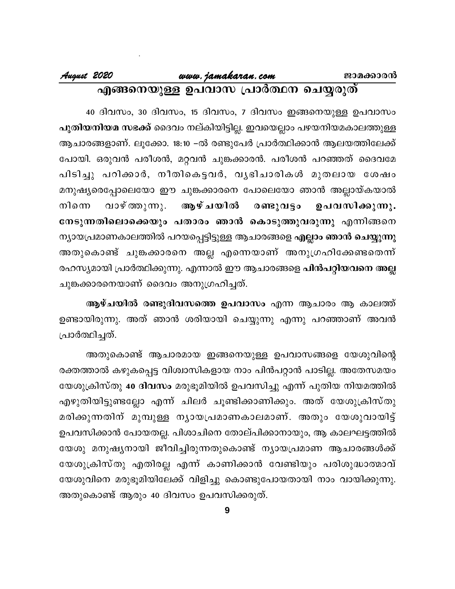### August 2020 www.jamakaran.com ജാമക്കാരൻ എങ്ങനെയുള്ള ഉപവാസ പ്രാർത്ഥന ചെയ്യരുത്

40 ദിവസം, 30 ദിവസം, 15 ദിവസം, 7 ദിവസം ഇങ്ങനെയുള്ള ഉപവാസം <mark>പുതിയനിയമ സഭക്ക്</mark> ദൈവം നല്കിയിട്ടില്ല. ഇവയെല്ലാം പഴയനിയമകാലത്തുള്ള ആചാരങ്ങളാണ്. ലൂക്കോ. 18:10 −ൽ രണ്ടുപേർ പ്രാർത്ഥിക്കാൻ ആലയത്തിലേക്ക് പോയി. ഒരുവൻ പരീശൻ, മറ്റവൻ ചുങ്കക്കാരൻ. പരീശൻ പറഞ്ഞത് ദൈവമേ പിടിച്ചു പറിക്കാർ, നീതികെട്ടവർ, വൃഭിചാരികൾ മുതലായ ശേഷം മനുഷ്യരെപ്പോലെയോ ഈ ചുങ്കക്കാരനെ പോലെയോ ഞാൻ അല്ലായ്കയാൽ വാഴ് ത്തുന്നു. ആഴ്ചയിൽ നിനെ രണ്ടുവട്ടം ഉപവസിക്കുന്നു. നേടുന്നതിലൊക്കെയും പതാരം ഞാൻ കൊടുത്തുവരുന്നു എന്നിങ്ങനെ ന്യായപ്രമാണകാലത്തിൽ പറയപ്പെട്ടിട്ടുള്ള ആചാരങ്ങളെ എല്ലാം ഞാൻ ചെയ്യുന്നു അതുകൊണ്ട് ചുങ്കക്കാരനെ അല്ല എന്നെയാണ് അനുഗ്രഹിക്കേണ്ടതെന്ന് രഹസ്യമായി പ്രാർത്ഥിക്കുന്നു. എന്നാൽ ഈ ആചാരങ്ങളെ **പിൻപറ്റിയവനെ അല്ല** ചുങ്കക്കാരനെയാണ് ദൈവം അനുഗ്രഹിച്ചത്.

ആഴ്ചയിൽ രണ്ടുദിവസത്തെ ഉപവാസം എന്ന ആചാരം ആ കാലത്ത് ഉണ്ടായിരുന്നു. അത് ഞാൻ ശരിയായി ചെയ്യുന്നു എന്നു പറഞ്ഞാണ് അവൻ പ്രാർത്ഥിച്ചത്.

അതുകൊണ്ട് ആചാരമായ ഇങ്ങനെയുള്ള ഉപവാസങ്ങളെ യേശുവിന്റെ രക്തത്താൽ കഴുകപ്പെട്ട വിശ്വാസികളായ നാം പിൻപറ്റാൻ പാടില്ല. അതേസമയം യേശുക്രിസ്തു 40 ദിവസം മരുഭൂമിയിൽ ഉപവസിച്ചു എന്ന് പുതിയ നിയമത്തിൽ എഴുതിയിട്ടുണ്ടല്ലോ എന്ന് ചിലർ ചൂണ്ടിക്കാണിക്കും. അത് യേശുക്രിസ്തു മരിക്കുന്നതിന് മുമ്പുള്ള നൃായപ്രമാണകാലമാണ്. അതും യേശുവായിട്ട് ഉപവസിക്കാൻ പോയതല്ല. പിശാചിനെ തോല്പിക്കാനായും, ആ കാലഘട്ടത്തിൽ യേശു മനുഷ്യനായി ജീവിച്ചിരുന്നതുകൊണ്ട് ന്യായപ്രമാണ ആചാരങ്ങൾക്ക് യേശുക്രിസ്തു എതിരല്ല എന്ന് കാണിക്കാൻ വേണ്ടിയും പരിശുദ്ധാത്മാവ് യേശുവിനെ മരുഭൂമിയിലേക്ക് വിളിച്ചു കൊണ്ടുപോയതായി നാം വായിക്കുന്നു. അതുകൊണ്ട് ആരും 40 ദിവസം ഉപവസിക്കരുത്.

9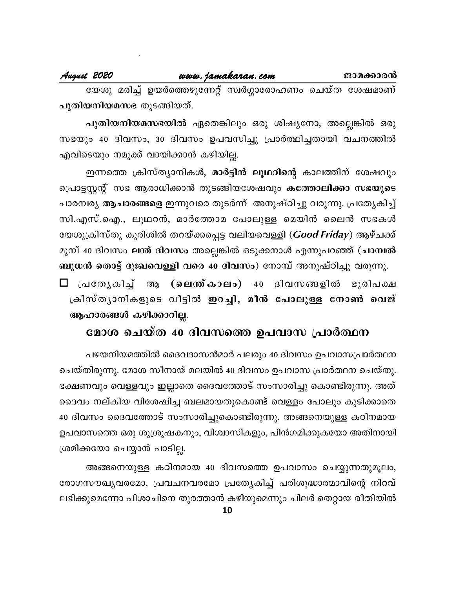### August 2020

www.jamakaran.com

യേശു മരിച്ച് ഉയർത്തെഴുന്നേറ്റ് സ്വർഗ്ഗാരോഹണം ചെയ്ത ശേഷമാണ് പുതിയനിയമസഭ തുടങ്ങിയത്.

പുതിയനിയമസഭയിൽ ഏതെങ്കിലും ഒരു ശിഷ്യനോ, അല്ലെങ്കിൽ ഒരു സഭയും 40 ദിവസം, 30 ദിവസം ഉപവസിച്ചു പ്രാർത്ഥിച്ചതായി വചനത്തിൽ എവിടെയും നമുക്ക് വായിക്കാൻ കഴിയില്ല.

ഇന്നത്തെ ക്രിസ്ത്യാനികൾ, മാർട്ടിൻ ലൂഥറിന്റെ കാലത്തിന് ശേഷവും പ്രൊട്ടസ്റ്റന്റ് സഭ ആരാധിക്കാൻ തുടങ്ങിയശേഷവും കത്തോലിക്കാ സഭയുടെ പാരമ്പര്യ <mark>ആചാരങ്ങളെ</mark> ഇന്നുവരെ തുടർന്ന് അനുഷ്ഠിച്ചു വരുന്നു. പ്രത്യേകിച്ച് സി.എസ്.ഐ., ലൂഥറൻ, മാർത്തോമ പോലുള്ള മെയിൻ ലൈൻ സഭകൾ യേശുക്രിസ്തു കുരിശിൽ തറയ്ക്കപ്പെട്ട വലിയവെള്ളി (*Good Friday*) ആഴ്ചക്ക് മുമ്പ് 40 ദിവസം ലന്ത് ദിവസം അല്ലെങ്കിൽ ഒടുക്കനാൾ എന്നുപറഞ്ഞ് (ചാമ്പൽ ബുധൻ തൊട്ട് ദുഃഖവെള്ളി വരെ 40 ദിവസം) നോമ്പ് അനുഷ്ഠിച്ചു വരുന്നു.

ആ (ലെന്ത്കാലം) 40 ദിവസങ്ങളിൽ ⊟ പ്രത്യേകിച് ഭൂരിപക്ഷ ക്രിസ്ത്യാനികളുടെ വീട്ടിൽ **ഇറച്ചി, മീൻ പോലുള്ള നോൺ വെജ്** ആഹാരങ്ങൾ കഴിക്കാറില്ല.

# മോശ ചെയ്ത 40 ദിവസത്തെ ഉപവാസ പ്രാർത്ഥന

പഴയനിയമത്തിൽ ദൈവദാസൻമാർ പലരും 40 ദിവസം ഉപവാസപ്രാർത്ഥന ചെയ്തിരുന്നു. മോശ സീനായ് മലയിൽ 40 ദിവസം ഉപവാസ പ്രാർത്ഥന ചെയ്തു. ഭക്ഷണവും വെള്ളവും ഇല്ലാതെ ദൈവത്തോട് സംസാരിച്ചു കൊണ്ടിരുന്നു. അത് ദൈവം നല്കിയ വിശേഷിച്ച ബലമായതുകൊണ്ട് വെള്ളം പോലും കുടിക്കാതെ 40 ദിവസം ദൈവത്തോട് സംസാരിച്ചുകൊണ്ടിരുന്നു. അങ്ങനെയുള്ള കഠിനമായ ഉപവാസത്തെ ഒരു ശുശ്രൂഷകനും, വിശ്വാസികളും, പിൻഗമിക്കുകയോ അതിനായി ശ്രമിക്കയോ ചെയ്യാൻ പാടില്ല.

അങ്ങനെയുള്ള കഠിനമായ 40 ദിവസത്തെ ഉപവാസം ചെയ്യുന്നതുമൂലം, രോഗസൗഖ്യവരമോ, പ്രവചനവരമോ പ്രത്യേകിച്ച് പരിശുദ്ധാത്മാവിന്റെ നിറവ് ലഭിക്കുമെന്നോ പിശാചിനെ തുരത്താൻ കഴിയുമെന്നും ചിലർ തെറ്റായ രീതിയിൽ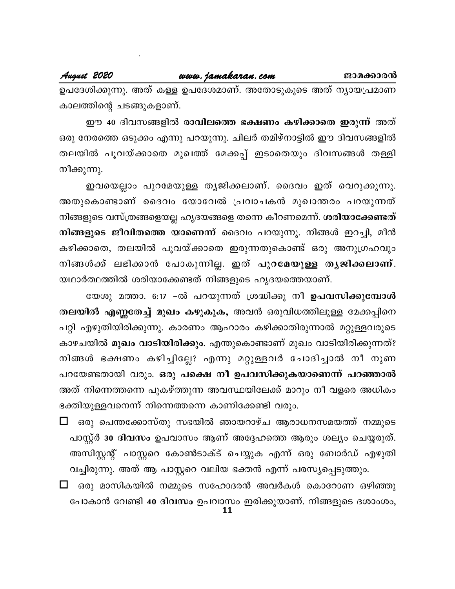### August 2020

# www.jamakaran.com

ഉപദേശിക്കുന്നു. അത് കള്ള ഉപദേശമാണ്. അതോടുകൂടെ അത് ന്യായപ്രമാണ കാലത്തിന്റെ ചടങ്ങുകളാണ്.

ഈ 40 ദിവസങ്ങളിൽ രാവിലത്തെ ഭക്ഷണം കഴിക്കാതെ ഇരുന്ന് അത് ഒരു നേരത്തെ ഒടുക്കം എന്നു പറയുന്നു. ചിലർ തമിഴ്നാട്ടിൽ ഈ ദിവസങ്ങളിൽ തലയിൽ പൂവയ്ക്കാതെ മുഖത്ത് മേക്കപ്പ് ഇടാതെയും ദിവസങ്ങൾ തള്ളി നീക്കുന്നു.

ഇവയെല്ലാം പുറമേയുള്ള തൃജിക്കലാണ്. ദൈവം ഇത് വെറുക്കുന്നു. അതുകൊണ്ടാണ് ദൈവം യോവേൽ പ്രവാചകൻ മുഖാന്തരം പറയുന്നത് നിങ്ങളുടെ വസ്ത്രങ്ങളെയല്ല ഹൃദയങ്ങളെ തന്നെ കീറണമെന്ന്. ശരിയാക്കേണ്ടത് നിങ്ങളുടെ ജീവിതത്തെ യാണെന്ന് ദൈവം പറയുന്നു. നിങ്ങൾ ഇറച്ചി, മീൻ കഴിക്കാതെ, തലയിൽ പൂവയ്ക്കാതെ ഇരുന്നതുകൊണ്ട് ഒരു അനുഗ്രഹവും നിങ്ങൾക്ക് ലഭിക്കാൻ പോകുന്നില്ല. ഇത് പുറമേയുള്ള തൃജിക്കലാണ്. യഥാർത്ഥത്തിൽ ശരിയാക്കേണ്ടത് നിങ്ങളുടെ ഹൃദയത്തെയാണ്.

യേശു മത്താ. 6:17 –ൽ പറയുന്നത് ശ്രദ്ധിക്കൂ നീ <mark>ഉപവസിക്കുമ്പോൾ</mark> തലയിൽ എണ്ണതേച്ച് മുഖം കഴുകുക, അവൻ ഒരുവിധത്തിലുള്ള മേക്കപ്പിനെ പറ്റി എഴുതിയിരിക്കുന്നു. കാരണം ആഹാരം കഴിക്കാതിരുന്നാൽ മറ്റുള്ളവരുടെ കാഴചയിൽ മുഖം വാടിയിരിക്കും. എന്തുകൊണ്ടാണ് മുഖം വാടിയിരിക്കുന്നത്? നിങ്ങൾ ഭക്ഷണം കഴിച്ചില്ലേ? എന്നു മറ്റുള്ളവർ ചോദിച്ചാൽ നീ നുണ പറയേണ്ടതായി വരും. ഒരു പക്ഷെ നീ ഉപവസിക്കുകയാണെന്ന് പറഞ്ഞാൽ അത് നിന്നെത്തന്നെ പുകഴ്ത്തുന്ന അവസ്ഥയിലേക്ക് മാറും നീ വളരെ അധികം ഭക്തിയുള്ളവനെന്ന് നിന്നെത്തന്നെ കാണിക്കേണ്ടി വരും.

- $\Box$  ഒരു പെന്തക്കോസ്തു സഭയിൽ ഞായറാഴ്ച ആരാധനസമയത്ത് നമ്മുടെ പാസ്റ്റ് 30 ദിവസം ഉപവാസം ആണ് അദ്ദേഹത്തെ ആരും ശല്യം ചെയ്യരുത്. അസിസ്റ്റന്റ് പാസ്റ്ററെ കോൺടാക്ട് ചെയ്യുക എന്ന് ഒരു ബോർഡ് എഴുതി വച്ചിരുന്നു. അത് ആ പാസ്റ്ററെ വലിയ ഭക്തൻ എന്ന് പരസ്യപ്പെടുത്തും.
- $\Box$  ഒരു മാസികയിൽ നമ്മുടെ സഹോദരൻ അവർകൾ കൊറോണ ഒഴിഞ്ഞു പോകാൻ വേണ്ടി 40 ദിവസം ഉപവാസം ഇരിക്കുയാണ്. നിങ്ങളുടെ ദശാംശം,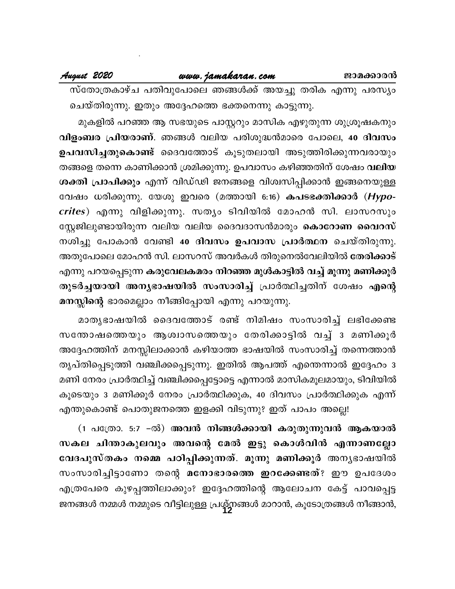### August 2020

സ്തോത്രകാഴ്ച പതിവുപോലെ ഞങ്ങൾക്ക് അയച്ചു തരിക എന്നു പരസ്യം ചെയ്തിരുന്നു. ഇതും അദ്ദേഹത്തെ ഭക്തനെന്നു കാട്ടുന്നു.

മുകളിൽ പറഞ്ഞ ആ സഭയുടെ പാസ്റ്ററും മാസിക എഴുതുന്ന ശുശ്രൂഷകനും വിളംബര പ്രിയരാണ്. ഞങ്ങൾ വലിയ പരിശുദ്ധൻമാരെ പോലെ, 40 ദിവസം ഉപവസിച്ചതുകൊണ്ട് ദൈവത്തോട് കൂടുതലായി അടുത്തിരിക്കുന്നവരായും തങ്ങളെ തന്നെ കാണിക്കാൻ ശ്രമിക്കുന്നു. ഉപവാസം കഴിഞ്ഞതിന് ശേഷം **വലിയ** ശക്തി പ്രാപിക്കും എന്ന് വിഡ്ഢി ജനങ്ങളെ വിശ്വസിപ്പിക്കാൻ ഇങ്ങനെയുള്ള വേഷം ധരിക്കുന്നു. യേശു ഇവരെ (മത്തായി 6:16) **കപടഭക്തിക്കാ**ർ (*Hypo*crites) എന്നു വിളിക്കുന്നു. സത്യം ടിവിയിൽ മോഹൻ സി. ലാസറസും സ്റ്റേജിലുണ്ടായിരുന്ന വലിയ വലിയ ദൈവദാസൻമാരും <mark>കൊറോണ വൈറസ്</mark> നശിച്ചു പോകാൻ വേണ്ടി 40 ദിവസം ഉപവാസ പ്രാർത്ഥന ചെയ്തിരുന്നു. അതുപോലെ മോഹൻ സി. ലാസറസ് അവർകൾ തിരുനെൽവേലിയിൽ <mark>തേരിക്കാട്</mark> എന്നു പറയപ്പെടുന്ന കരുവേലകമരം നിറഞ്ഞ മുൾകാട്ടിൽ വച്ച് മൂന്നു മണിക്കൂർ തുടർച്ചയായി അന്യഭാഷയിൽ സംസാരിച്ച് പ്രാർത്ഥിച്ചതിന് ശേഷം എന്റെ മനസ്സിന്റെ ഭാരമെല്ലാം നീങ്ങിപ്പോയി എന്നു പറയുന്നു.

മാതൃഭാഷയിൽ ദൈവത്തോട് രണ്ട് നിമിഷം സംസാരിച്ച് ലഭിക്കേണ്ട സന്തോഷത്തെയും ആശ്വാസത്തെയും തേരിക്കാട്ടിൽ വച്ച് ദ മണിക്കൂർ അദ്ദേഹത്തിന് മനസ്സിലാക്കാൻ കഴിയാത്ത ഭാഷയിൽ സംസാരിച്ച് തന്നെത്താൻ തൃപ്തിപ്പെടുത്തി വഞ്ചിക്കപ്പെടുന്നു. ഇതിൽ ആപത്ത് എന്തെന്നാൽ ഇദ്ദേഹം 3 മണി നേരം പ്രാർത്ഥിച്ച് വഞ്ചിക്കപ്പെട്ടോട്ടെ എന്നാൽ മാസികമൂലമായും, ടിവിയിൽ കൂടെയും 3 മണിക്കൂർ നേരം പ്രാർത്ഥിക്കുക, 40 ദിവസം പ്രാർത്ഥിക്കുക എന്ന് എന്തുകൊണ്ട് പൊതുജനത്തെ ഇളക്കി വിടുന്നു? ഇത് പാപം അല്ലെ!

(1 പത്രോ. 5:7 –ൽ) <mark>അവൻ നിങ്ങൾക്കായി കരുതുന്നുവൻ ആകയാൽ</mark> സകല ചിന്താകുലവും അവന്റെ മേൽ ഇട്ടു കൊൾവിൻ എന്നാണല്ലോ വേദപുസ്തകം നമ്മെ പഠിപ്പിക്കുന്നത്. മൂന്നു മണിക്കൂർ അന്യഭാഷയിൽ സംസാരിച്ചിട്ടാണോ തന്റെ മനോഭാരത്തെ ഇറക്കേണ്ടത്? ഈ ഉപദേശം എത്രപേരെ കുഴപ്പത്തിലാക്കും? ഇദ്ദേഹത്തിന്റെ ആലോചന കേട്ട് പാവപ്പെട്ട ജനങ്ങൾ നമ്മൾ നമ്മുടെ വീട്ടിലുള്ള പ്രശ്നങ്ങൾ മാറാൻ, കൂടോത്രങ്ങൾ നീങ്ങാൻ,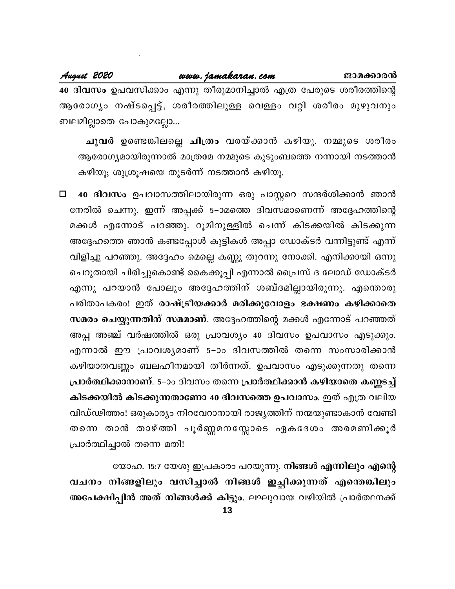40 ദിവസം ഉപവസിക്കാം എന്നു തീരുമാനിച്ചാൽ എത്ര പേരുടെ ശരീരത്തിന്റെ ആരോഗ്യം നഷ്ടപ്പെട്ട്, ശരീരത്തിലുള്ള വെള്ളം വറ്റി ശരീരം മുഴുവനും ബലമില്ലാതെ പോകുമല്ലോ...

ചുവർ ഉണ്ടെങ്കിലല്ലെ ചിത്രം വരയ്ക്കാൻ കഴിയൂ. നമ്മുടെ ശരീരം ആരോഗ്യമായിരുന്നാൽ മാത്രമേ നമ്മുടെ കുടുംബത്തെ നന്നായി നടത്താൻ കഴിയൂ; ശുശ്രൂഷയെ തുടർന്ന് നടത്താൻ കഴിയൂ.

40 ദിവസം ഉപവാസത്തിലായിരുന്ന ഒരു പാസ്റ്ററെ സന്ദർശിക്കാൻ ഞാൻ  $\Box$ നേരിൽ ചെന്നു. ഇന്ന് അപ്പക്ക് 5–ാമത്തെ ദിവസമാണെന്ന് അദ്ദേഹത്തിന്റെ മക്കൾ എന്നോട് പറഞ്ഞു. റൂമിനുള്ളിൽ ചെന്ന് കിടക്കയിൽ കിടക്കുന്ന അദ്ദേഹത്തെ ഞാൻ കണ്ടപ്പോൾ കുട്ടികൾ അപ്പാ ഡോക്ടർ വന്നിട്ടുണ്ട് എന്ന് വിളിച്ചു പറഞ്ഞു. അദ്ദേഹം മെല്ലെ കണ്ണു തുറന്നു നോക്കി. എനിക്കായി ഒന്നു ചെറുതായി ചിരിച്ചുകൊണ്ട് കൈക്കൂപ്പി എന്നാൽ പ്രൈസ് ദ ലോഡ് ഡോക്ടർ എന്നു പറയാൻ പോലും അദ്ദേഹത്തിന് ശബ്ദമില്ലായിരുന്നു. എന്തൊരു പരിതാപകരം! ഇത് രാഷ്ട്രീയക്കാർ മരിക്കുവോളം ഭക്ഷണം കഴിക്കാതെ സമരം ചെയ്യുന്നതിന് സമമാണ്. അദ്ദേഹത്തിന്റെ മക്കൾ എന്നോട് പറഞ്ഞത് അപ്പ അഞ്ച് വർഷത്തിൽ ഒരു പ്രാവശ്യം 40 ദിവസം ഉപവാസം എടുക്കും. എന്നാൽ ഈ പ്രാവശ്യമാണ് 5–ാം ദിവസത്തിൽ തന്നെ സംസാരിക്കാൻ കഴിയാതവണ്ണം ബലഹീനമായി തീർന്നത്. ഉപവാസം എടുക്കുന്നതു തന്നെ പ്രാർത്ഥിക്കാനാണ്. 5–ാം ദിവസം തന്നെ പ്രാർത്ഥിക്കാൻ കഴിയാതെ കണ്ണടച്ച് കിടക്കയിൽ കിടക്കുന്നതാണോ 40 ദിവസത്തെ ഉപവാസം. ഇത് എത്ര വലിയ വിഡ്ഢിത്തം! ഒരുകാര്യം നിറവേറാനായി രാജ്യത്തിന് നന്മയുണ്ടാകാൻ വേണ്ടി തന്നെ താൻ താഴ്ത്തി പൂർണ്ണമനസ്സോടെ ഏകദേശം അരമണിക്കൂർ പ്രാർത്ഥിച്ചാൽ തന്നെ മതി!

യോഹ. 15:7 യേശു ഇപ്രകാരം പറയുന്നു. നിങ്ങൾ എന്നിലും എന്റെ വചനം നിങ്ങളിലും വസിച്ചാൽ നിങ്ങൾ ഇച്ഛിക്കുന്നത് എന്തെങ്കിലും അപേക്ഷിപ്പിൻ അത് നിങ്ങൾക്ക് കിട്ടും. ലഘുവായ വഴിയിൽ പ്രാർത്ഥനക്ക്

13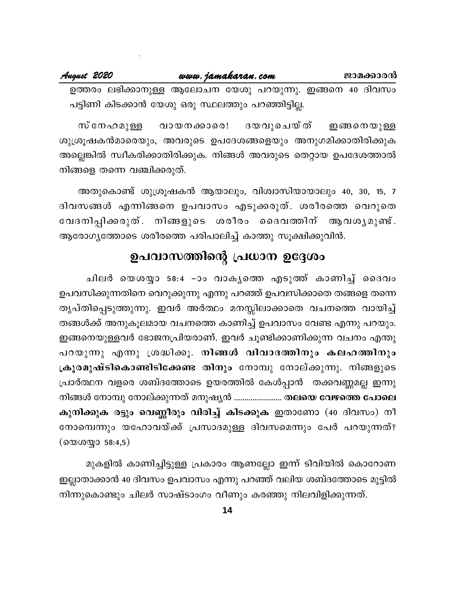| August 2020 |                                                          | www.jamakaran.com |  |  | ജാമക്കാരൻ |  |  |
|-------------|----------------------------------------------------------|-------------------|--|--|-----------|--|--|
|             | ഉത്തരം ലഭിക്കാനുള്ള ആലോചന യേശു പറയുന്നു. ഇങ്ങനെ 40 ദിവസം |                   |  |  |           |  |  |

പട്ടിണി കിടക്കാൻ യേശു ഒരു സ്ഥലത്തും പറഞ്ഞിട്ടില്ല.

ദയവുചെയ്ത് സ് നേഹമുള്ള വായനക്കാരെ! ഇങ്ങനെയുള്ള ശുശ്രൂഷകൻമാരെയും, അവരുടെ ഉപദേശങ്ങളെയും അനുഗമിക്കാതിരിക്കുക അല്ലെങ്കിൽ സ്വീകരിക്കാതിരിക്കുക. നിങ്ങൾ അവരുടെ തെറ്റായ ഉപദേശത്താൽ നിങ്ങളെ തന്നെ വഞ്ചിക്കരുത്.

അതുകൊണ്ട് ശുശ്രൂഷകൻ ആയാലും, വിശ്വാസിയായാലും 40, 30, 15, 7 ദിവസങ്ങൾ എന്നിങ്ങനെ ഉപവാസം എടുക്കരുത്. ശരീരത്തെ വെറുതെ വേദനിപ്പിക്കരുത്. നിങ്ങളുടെ ശരീരം ദൈവത്തിന് ആവശൃമുണ്ട്. ആരോഗൃത്തോടെ ശരീരത്തെ പരിപാലിച്ച് കാത്തു സൂക്ഷിക്കുവിൻ.

# ഉപവാസത്തിന്റെ പ്രധാന ഉദ്ദേശം

ചിലർ യെശയ്യാ 58:4 –ാം വാകൃത്തെ എടുത്ത് കാണിച്ച് ദൈവം ഉപവസിക്കുന്നതിനെ വെറുക്കുന്നു എന്നു പറഞ്ഞ് ഉപവസിക്കാതെ തങ്ങളെ തന്നെ തൃപ്തിപ്പെടുത്തുന്നു. ഇവർ അർത്ഥം മനസ്സിലാക്കാതെ വചനത്തെ വായിച്ച് തങ്ങൾക്ക് അനുകൂലമായ വചനത്തെ കാണിച്ച് ഉപവാസം വേണ്ട എന്നു പറയും. ഇങ്ങനെയുള്ളവർ ഭോജനപ്രിയരാണ്. ഇവർ ചൂണ്ടിക്കാണിക്കുന്ന വചനം എന്തു പറയുന്നു എന്നു ശ്രദ്ധിക്കൂ. നിങ്ങൾ വിവാദത്തിനും കലഹത്തിനും ക്രൂരമുഷ്ടികൊണ്ടിടിക്കേണ്ട തിനും നോമ്പു നോല്ക്കുന്നു. നിങ്ങളുടെ പ്രാർത്ഥന വളരെ ശബ്ദത്തോടെ ഉയരത്തിൽ കേൾപ്പാൻ തക്കവണ്ണമല്ല ഇന്നു നിങ്ങൾ നോമ്പു നോല്ക്കുന്നത് മനുഷ്യൻ ........................ തലയെ വേഴത്തെ പോലെ കുനിക്കുക രട്ടും വെണ്ണീരും വിരിച്ച് കിടക്കുക ഇതാണോ (40 ദിവസം) നീ നോമ്പെന്നും യഹോവയ്ക്ക് പ്രസാദമുള്ള ദിവസമെന്നും പേർ പറയുന്നത്?  $($ യെശയ്യാ 58:4,5 $)$ 

മുകളിൽ കാണിച്ചിട്ടുള്ള പ്രകാരം ആണല്ലോ ഇന്ന് ടിവിയിൽ കൊറോണ ഇല്ലാതാക്കാൻ 40 ദിവസം ഉപവാസം എന്നു പറഞ്ഞ് വലിയ ശബ്ദത്തോടെ മുട്ടിൽ നിന്നുകൊണ്ടും ചിലർ സാഷ്ടാംഗം വീണും കരഞ്ഞു നിലവിളിക്കുന്നത്.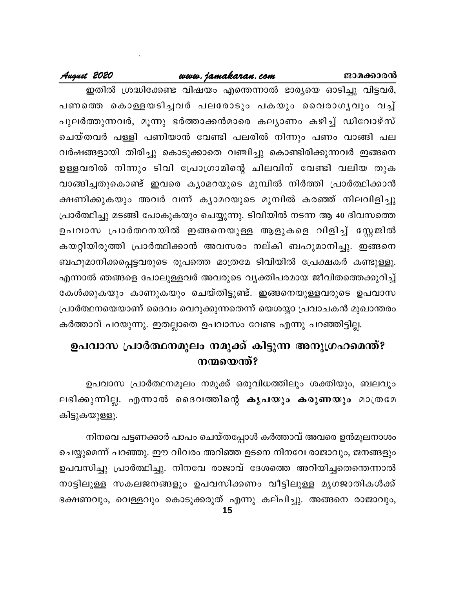### ജാമക്കാരൻ

### www.jamakaran.com

### August 2020

ഇതിൽ ശ്രദ്ധിക്കേണ്ട വിഷയം എന്തെന്നാൽ ഭാര്യയെ ഓടിച്ചു വിട്ടവർ, പണത്തെ കൊള്ളയടിച്ചവർ പലരോടും പകയും വൈരാഗൃവും വച്ച് പുലർത്തുന്നവർ, മൂന്നു ഭർത്താക്കൻമാരെ കല്യാണം കഴിച്ച് ഡിവോഴ്സ് ചെയ്തവർ പള്ളി പണിയാൻ വേണ്ടി പലരിൽ നിന്നും പണം വാങ്ങി പല വർഷങ്ങളായി തിരിച്ചു കൊടുക്കാതെ വഞ്ചിച്ചു കൊണ്ടിരിക്കുന്നവർ ഇങ്ങനെ ഉള്ളവരിൽ നിന്നും ടിവി പ്രോഗ്രാമിന്റെ ചിലവിന് വേണ്ടി വലിയ തുക വാങ്ങിച്ചതുകൊണ്ട് ഇവരെ കൃാമറയുടെ മുമ്പിൽ നിർത്തി പ്രാർത്ഥിക്കാൻ ക്ഷണിക്കുകയും അവർ വന്ന് ക്യാമറയുടെ മുമ്പിൽ കരഞ്ഞ് നിലവിളിച്ചു പ്രാർത്ഥിച്ചു മടങ്ങി പോകുകയും ചെയ്യുന്നു. ടിവിയിൽ നടന്ന ആ 40 ദിവസത്തെ ഉപവാസ പ്രാർത്ഥനയിൽ ഇങ്ങനെയുള്ള ആളുകളെ വിളിച്ച് സ്റ്റേജിൽ കയറ്റിയിരുത്തി പ്രാർത്ഥിക്കാൻ അവസരം നല്കി ബഹുമാനിച്ചു. ഇങ്ങനെ ബഹുമാനിക്കപ്പെട്ടവരുടെ രൂപത്തെ മാത്രമേ ടിവിയിൽ പ്രേക്ഷകർ കണ്ടുള്ളൂ. എന്നാൽ ഞങ്ങളെ പോലുള്ളവർ അവരുടെ വ്യക്തിപരമായ ജീവിതത്തെക്കുറിച്ച് കേൾക്കുകയും കാണുകയും ചെയ്തിട്ടുണ്ട്. ഇങ്ങനെയുള്ളവരുടെ ഉപവാസ പ്രാർത്ഥനയെയാണ് ദൈവം വെറുക്കുന്നതെന്ന് യെശയ്യാ പ്രവാചകൻ മുഖാന്തരം കർത്താവ് പറയുന്നു. ഇതല്ലാതെ ഉപവാസം വേണ്ട എന്നു പറഞ്ഞിട്ടില്ല.

# ഉപവാസ പ്രാർത്ഥനമൂലം നമുക്ക് കിട്ടുന്ന അനുഗ്രഹമെന്ത്? നന്മയെന്ത്?

ഉപവാസ പ്രാർത്ഥനമൂലം നമുക്ക് ഒരുവിധത്തിലും ശക്തിയും, ബലവും ലഭിക്കുന്നില്ല. എന്നാൽ ദൈവത്തിന്റെ കൃപയും കരുണയും മാത്രമേ കിട്ടുകയുള്ളൂ.

നിനവെ പട്ടണക്കാർ പാപം ചെയ്തപ്പോൾ കർത്താവ് അവരെ ഉൻമൂലനാശം ചെയ്യുമെന്ന് പറഞ്ഞു. ഈ വിവരം അറിഞ്ഞ ഉടനെ നിനവേ രാജാവും, ജനങ്ങളും ഉപവസിച്ചു പ്രാർത്ഥിച്ചു. നിനവേ രാജാവ് ദേശത്തെ അറിയിച്ചതെന്തെന്നാൽ നാട്ടിലുള്ള സകലജനങ്ങളും ഉപവസിക്കണം വീട്ടിലുള്ള മൃഗജാതികൾക്ക് ഭക്ഷണവും, വെള്ളവും കൊടുക്കരുത് എന്നു കല്പിച്ചു. അങ്ങനെ രാജാവും,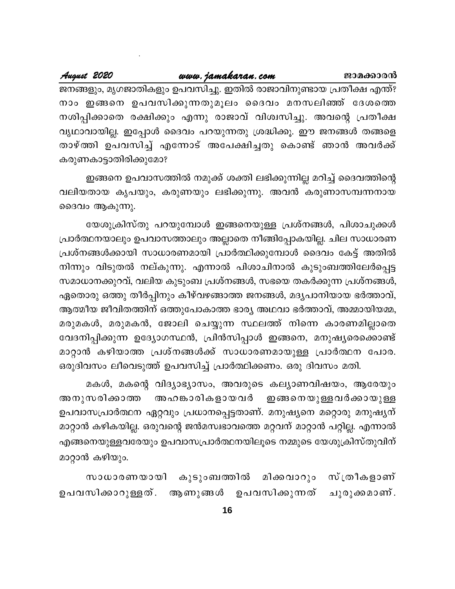നാം ഇങ്ങനെ ഉപവസിക്കുന്നതുമൂലം ദൈവം മനസലിഞ്ഞ് ദേശത്തെ നശിപ്പിക്കാതെ രക്ഷിക്കും എന്നു രാജാവ് വിശ്വസിച്ചു. അവന്റെ പ്രതീക്ഷ വൃഥാവായില്ല. ഇപ്പോൾ ദൈവം പറയുന്നതു ശ്രദ്ധിക്കൂ. ഈ ജനങ്ങൾ തങ്ങളെ താഴ്ത്തി ഉപവസിച്ച് എന്നോട് അപേക്ഷിച്ചതു കൊണ്ട് ഞാൻ അവർക്ക് കരുണകാട്ടാതിരിക്കുമോ?

ഇങ്ങനെ ഉപവാസത്തിൽ നമുക്ക് ശക്തി ലഭിക്കുന്നില്ല മറിച്ച് ദൈവത്തിന്റെ വലിയതായ കൃപയും, കരുണയും ലഭിക്കുന്നു. അവൻ കരുണാസമ്പന്നനായ ദൈവം ആകുന്നു.

യേശുക്രിസ്തു പറയുമ്പോൾ ഇങ്ങനെയുള്ള പ്രശ്നങ്ങൾ, പിശാചുക്കൾ പ്രാർത്ഥനയാലും ഉപവാസത്താലും അല്ലാതെ നീങ്ങിപ്പോകയില്ല. ചില സാധാരണ പ്രശ്നങ്ങൾക്കായി സാധാരണമായി പ്രാർത്ഥിക്കുമ്പോൾ ദൈവം കേട്ട് അതിൽ നിന്നും വിടുതൽ നല്കുന്നു. എന്നാൽ പിശാചിനാൽ കുടുംബത്തിലേർപ്പെട്ട സമാധാനക്കുറവ്, വലിയ കുടുംബ പ്രശ്നങ്ങൾ, സഭയെ തകർക്കുന്ന പ്രശ്നങ്ങൾ, ഏതൊരു ഒത്തു തീർപ്പിനും കീഴ്വഴങ്ങാത്ത ജനങ്ങൾ, മദ്യപാനിയായ ഭർത്താവ്, ആത്മീയ ജീവിതത്തിന് ഒത്തുപോകാത്ത ഭാര്യ അഥവാ ഭർത്താവ്, അമ്മായിയമ്മ, മരുമകൾ, മരുമകൻ, ജോലി ചെയ്യുന്ന സ്ഥലത്ത് നിന്നെ കാരണമില്ലാതെ വേദനിപ്പിക്കുന്ന ഉദ്യോഗസ്ഥൻ, പ്രിൻസിപ്പാൾ ഇങ്ങനെ, മനുഷ്യരെക്കൊണ്ട് മാറ്റാൻ കഴിയാത്ത പ്രശ്നങ്ങൾക്ക് സാധാരണമായുള്ള പ്രാർത്ഥന പോര. ഒരുദിവസം ലീവെടുത്ത് ഉപവസിച്ച് പ്രാർത്ഥിക്കണം. ഒരു ദിവസം മതി.

മകൾ, മകന്റെ വിദ്യാഭ്യാസം, അവരുടെ കല്യാണവിഷയം, ആരേയും അഹങ്കാരികളായവർ അനുസരിക്കാത്ത ഇങ്ങനെയുള്ള വർക്കായുള്ള ഉപവാസപ്രാർത്ഥന ഏറ്റവും പ്രധാനപ്പെട്ടതാണ്. മനുഷ്യനെ മറ്റൊരു മനുഷ്യന് മാറ്റാൻ കഴികയില്ല. ഒരുവന്റെ ജൻമസ്വഭാവത്തെ മറ്റവന് മാറ്റാൻ പറ്റില്ല. എന്നാൽ എങ്ങനെയുള്ളവരേയും ഉപവാസപ്രാർത്ഥനയിലൂടെ നമ്മുടെ യേശുക്രിസ്തുവിന് മാറ്റാൻ കഴിയും.

കുടുംബത്തിൽ മിക്കവാറും സ്ത്രീകളാണ് സാധാരണയായി ആണുങ്ങൾ ഉപവസിക്കുന്നത് ഉപവസിക്കാറുള്ളത്. ചുരുക്കമാണ്.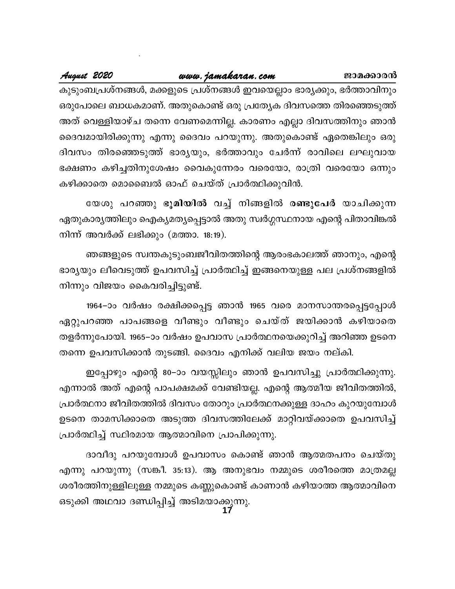ജാമക്കാരൻ കുടുംബപ്രശ്നങ്ങൾ, മക്കളുടെ പ്രശ്നങ്ങൾ ഇവയെല്ലാം ഭാര്യക്കും, ഭർത്താവിനും ഒരുപോലെ ബാധകമാണ്. അതുകൊണ്ട് ഒരു പ്രത്യേക ദിവസത്തെ തിരഞ്ഞെടുത്ത് അത് വെള്ളിയാഴ്ച തന്നെ വേണമെന്നില്ല. കാരണം എല്ലാ ദിവസത്തിനും ഞാൻ

ദൈവമായിരിക്കുന്നു എന്നു ദൈവം പറയുന്നു. അതുകൊണ്ട് ഏതെങ്കിലും ഒരു ദിവസം തിരഞ്ഞെടുത്ത് ഭാര്യയും, ഭർത്താവും ചേർന്ന് രാവിലെ ലഘുവായ ഭക്ഷണം കഴിച്ചതിനുശേഷം വൈകുന്നേരം വരെയോ, രാത്രി വരെയോ ഒന്നും കഴിക്കാതെ മൊബൈൽ ഓഫ് ചെയ്ത് പ്രാർത്ഥിക്കുവിൻ.

യേശു പറഞ്ഞു ഭൂമിയിൽ വച്ച് നിങ്ങളിൽ രണ്ടുപേർ യാചിക്കുന്ന ഏതുകാര്യത്തിലും ഐക്യമത്യപ്പെട്ടാൽ അതു സ്വർഗ്ഗസ്ഥനായ എന്റെ പിതാവിങ്കൽ നിന്ന് അവർക്ക് ലഭിക്കും (മത്താ. 18:19).

ഞങ്ങളുടെ സ്വന്തകുടുംബജീവിതത്തിന്റെ ആരംഭകാലത്ത് ഞാനും, എന്റെ ഭാര്യയും ലീവെടുത്ത് ഉപവസിച്ച് പ്രാർത്ഥിച്ച് ഇങ്ങനെയുള്ള പല പ്രശ്നങ്ങളിൽ നിന്നും വിജയം കൈവരിച്ചിട്ടുണ്ട്.

1964–ാം വർഷം രക്ഷിക്കപ്പെട്ട ഞാൻ 1965 വരെ മാനസാന്തരപ്പെട്ടപ്പോൾ ഏറ്റുപറഞ്ഞ പാപങ്ങളെ വീണ്ടും വീണ്ടും ചെയ്ത് ജയിക്കാൻ കഴിയാതെ തളർന്നുപോയി. 1965–ാം വർഷം ഉപവാസ പ്രാർത്ഥനയെക്കുറിച്ച് അറിഞ്ഞ ഉടനെ തന്നെ ഉപവസിക്കാൻ തുടങ്ങി. ദൈവം എനിക്ക് വലിയ ജയം നല്കി.

ഇപ്പോഴും എന്റെ 80–ാം വയസ്സിലും ഞാൻ ഉപവസിച്ചു പ്രാർത്ഥിക്കുന്നു. എന്നാൽ അത് എന്റെ പാപക്ഷമക്ക് വേണ്ടിയല്ല. എന്റെ ആത്മീയ ജീവിതത്തിൽ, പ്രാർത്ഥനാ ജീവിതത്തിൽ ദിവസം തോറും പ്രാർത്ഥനക്കുള്ള ദാഹം കുറയുമ്പോൾ ഉടനെ താമസിക്കാതെ അടുത്ത ദിവസത്തിലേക്ക് മാറ്റിവയ്ക്കാതെ ഉപവസിച്ച് പ്രാർത്ഥിച്ച് സ്ഥിരമായ ആത്മാവിനെ പ്രാപിക്കുന്നു.

ദാവീദു പറയുമ്പോൾ ഉപവാസം കൊണ്ട് ഞാൻ ആത്മതപനം ചെയ്തു എന്നു പറയുന്നു (സങ്കീ. 35:13). ആ അനുഭവം നമ്മുടെ ശരീരത്തെ മാത്രമല്ല ശരീരത്തിനുള്ളിലുള്ള നമ്മുടെ കണ്ണുകൊണ്ട് കാണാൻ കഴിയാത്ത ആത്മാവിനെ ഒടുക്കി അഥവാ ദണ്ഡിപ്പിച്ച് അടിമയാക്കുന്നു.<br>17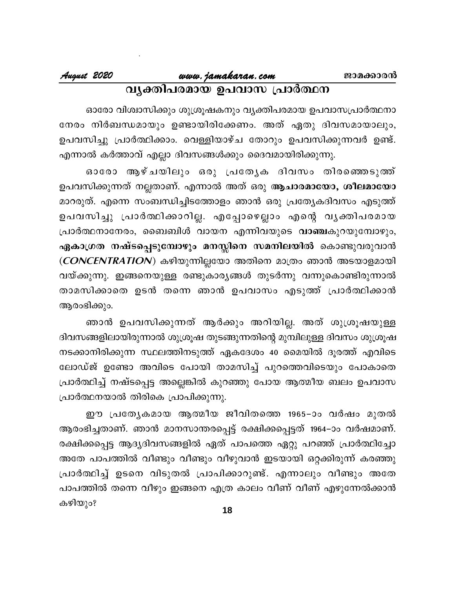# www.jamakaran.com വൃക്തിപരമായ ഉപവാസ പ്രാർത്ഥന

ഓരോ വിശ്വാസിക്കും ശുശ്രൂഷകനും വൃക്തിപരമായ ഉപവാസപ്രാർത്ഥനാ നേരം നിർബന്ധമായും ഉണ്ടായിരിക്കേണം. അത് ഏതു ദിവസമായാലും, ഉപവസിച്ചു പ്രാർത്ഥിക്കാം. വെള്ളിയാഴ്ച തോറും ഉപവസിക്കുന്നവർ ഉണ്ട്. എന്നാൽ കർത്താവ് എല്ലാ ദിവസങ്ങൾക്കും ദൈവമായിരിക്കുന്നു.

ഓരോ ആഴ്ചയിലും ഒരു പ്രത്യേക ദിവസം തിരഞ്ഞെടുത്ത് ഉപവസിക്കുന്നത് നല്ലതാണ്. എന്നാൽ അത് ഒരു ആചാരമായോ, ശീലമായോ മാറരുത്. എന്നെ സംബന്ധിച്ചിടത്തോളം ഞാൻ ഒരു പ്രത്യേകദിവസം എടുത്ത് ഉപവസിച്ചു പ്രാർത്ഥിക്കാറില്ല. എപ്പോഴെല്ലാം എന്റെ വൃക്തിപരമായ പ്രാർത്ഥനാനേരം, ബൈബിൾ വായന എന്നിവയുടെ വാഞ്ചകുറയുമ്പോഴും, ഏകാഗ്രത നഷ്ടപ്പെടുമ്പോഴും മനസ്സിനെ സമനിലയിൽ കൊണ്ടുവരുവാൻ (CONCENTRATION) കഴിയുന്നില്ലയോ അതിനെ മാത്രം ഞാൻ അടയാളമായി വയ്ക്കുന്നു. ഇങ്ങനെയുള്ള രണ്ടുകാര്യങ്ങൾ തുടർന്നു വന്നുകൊണ്ടിരുന്നാൽ താമസിക്കാതെ ഉടൻ തന്നെ ഞാൻ ഉപവാസം എടുത്ത് പ്രാർത്ഥിക്കാൻ ആരംഭിക്കും.

ഞാൻ ഉപവസിക്കുന്നത് ആർക്കും അറിയില്ല. അത് ശുശ്രൂഷയുള്ള ദിവസങ്ങളിലായിരുന്നാൽ ശുശ്രൂഷ തുടങ്ങുന്നതിന്റെ മുമ്പിലുള്ള ദിവസം ശുശ്രൂഷ നടക്കാനിരിക്കുന്ന സ്ഥലത്തിനടുത്ത് ഏകദേശം 40 മൈയിൽ ദൂരത്ത് എവിടെ ലോഡ്ജ് ഉണ്ടോ അവിടെ പോയി താമസിച്ച് പുറത്തെവിടെയും പോകാതെ പ്രാർത്ഥിച്ച് നഷ്ടപ്പെട്ട അല്ലെങ്കിൽ കുറഞ്ഞു പോയ ആത്മീയ ബലം ഉപവാസ പ്രാർത്ഥനയാൽ തിരികെ പ്രാപിക്കുന്നു.

ഈ പ്രത്യേകമായ ആത്മീയ ജീവിതത്തെ 1965–ാം വർഷം മുതൽ ആരംഭിച്ചതാണ്. ഞാൻ മാനസാന്തരപ്പെട്ട് രക്ഷിക്കപ്പെട്ടത് 1964–ാം വർഷമാണ്. രക്ഷിക്കപ്പെട്ട ആദ്യദിവസങ്ങളിൽ ഏത് പാപത്തെ ഏറ്റു പറഞ്ഞ് പ്രാർത്ഥിച്ചോ അതേ പാപത്തിൽ വീണ്ടും വീണ്ടും വീഴുവാൻ ഇടയായി ഒറ്റക്കിരുന്ന് കരഞ്ഞു പ്രാർത്ഥിച്ച് ഉടനെ വിടുതൽ പ്രാപിക്കാറുണ്ട്. എന്നാലും വീണ്ടും അതേ പാപത്തിൽ തന്നെ വീഴും ഇങ്ങനെ എത്ര കാലം വീണ് വീണ് എഴുന്നേൽക്കാൻ കഴിയും?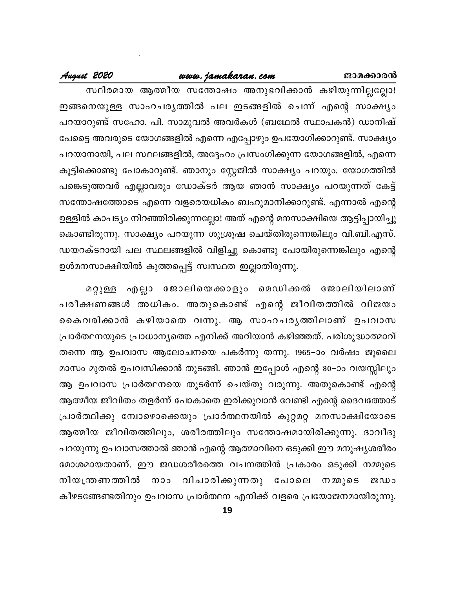### ജാമക്കാരൻ

### www.jamakaran.com

### August 2020

സ്ഥിരമായ ആത്മീയ സന്തോഷം അനുഭവിക്കാൻ കഴിയുന്നില്ലല്ലോ! ഇങ്ങനെയുള്ള സാഹചരൃത്തിൽ പല ഇടങ്ങളിൽ ചെന്ന് എന്റെ സാക്ഷൃം പറയാറുണ്ട് സഹോ. പി. സാമുവൽ അവർകൾ (ബഥേൽ സ്ഥാപകൻ) ഡാനിഷ് പേട്ടൈ അവരുടെ യോഗങ്ങളിൽ എന്നെ എപ്പോഴും ഉപയോഗിക്കാറുണ്ട്. സാക്ഷ്യം പറയാനായി, പല സ്ഥലങ്ങളിൽ, അദ്ദേഹം പ്രസംഗിക്കുന്ന യോഗങ്ങളിൽ, എന്നെ കൂട്ടിക്കൊണ്ടു പോകാറുണ്ട്. ഞാനും സ്റ്റേജിൽ സാക്ഷ്യം പറയും. യോഗത്തിൽ പങ്കെടുത്തവർ എല്ലാവരും ഡോക്ടർ ആയ ഞാൻ സാക്ഷ്യം പറയുന്നത് കേട്ട് സന്തോഷത്തോടെ എന്നെ വളരെയധികം ബഹുമാനിക്കാറുണ്ട്. എന്നാൽ എന്റെ ഉള്ളിൽ കാപട്യം നിറഞ്ഞിരിക്കുന്നല്ലോ! അത് എന്റെ മനസാക്ഷിയെ ആട്ടിപ്പായിച്ചു കൊണ്ടിരുന്നു. സാക്ഷ്യം പറയുന്ന ശുശ്രൂഷ ചെയ്തിരുന്നെങ്കിലും വി.ബി.എസ്. ഡയറക്ടറായി പല സ്ഥലങ്ങളിൽ വിളിച്ചു കൊണ്ടു പോയിരുന്നെങ്കിലും എന്റെ ഉൾമനസാക്ഷിയിൽ കുത്തപ്പെട്ട് സ്വസ്ഥത ഇല്ലാതിരുന്നു.

എല്ലാ ജോലിയെക്കാളും മെഡിക്കൽ ജോലിയിലാണ് മറ്റുള്ള പരീക്ഷണങ്ങൾ അധികം. അതുകൊണ്ട് എന്റെ ജീവിതത്തിൽ വിജയം കൈവരിക്കാൻ കഴിയാതെ വന്നു. ആ സാഹചരൃത്തിലാണ് ഉപവാസ പ്രാർത്ഥനയുടെ പ്രാധാന്യത്തെ എനിക്ക് അറിയാൻ കഴിഞ്ഞത്. പരിശുദ്ധാത്മാവ് തന്നെ ആ ഉപവാസ ആലോചനയെ പകർന്നു തന്നു. 1965–ാം വർഷം ജൂലൈ മാസം മുതൽ ഉപവസിക്കാൻ തുടങ്ങി. ഞാൻ ഇപ്പോൾ എന്റെ 80–ാം വയസ്സിലും ആ ഉപവാസ പ്രാർത്ഥനയെ തുടർന്ന് ചെയ്തു വരുന്നു. അതുകൊണ്ട് എന്റെ ആത്മീയ ജീവിതം തളർന്ന് പോകാതെ ഇരിക്കുവാൻ വേണ്ടി എന്റെ ദൈവത്തോട് പ്രാർത്ഥിക്കു മ്പോഴൊക്കെയും പ്രാർത്ഥനയിൽ കുറ്റമറ്റ മനസാക്ഷിയോടെ ആത്മീയ ജീവിതത്തിലും, ശരീരത്തിലും സന്തോഷമായിരിക്കുന്നു. ദാവീദു പറയുന്നു ഉപവാസത്താൽ ഞാൻ എന്റെ ആത്മാവിനെ ഒടുക്കി ഈ മനുഷ്യശരീരം മോശമായതാണ്. ഈ ജഡശരീരത്തെ വചനത്തിൻ പ്രകാരം ഒടുക്കി നമ്മുടെ നിയന്ത്രണത്തിൽ നാം വിചാരിക്കുന്നതു പോലെ നമ്മുടെ ജഡം കീഴടങ്ങേണ്ടതിനും ഉപവാസ പ്രാർത്ഥന എനിക്ക് വളരെ പ്രയോജനമായിരുന്നു.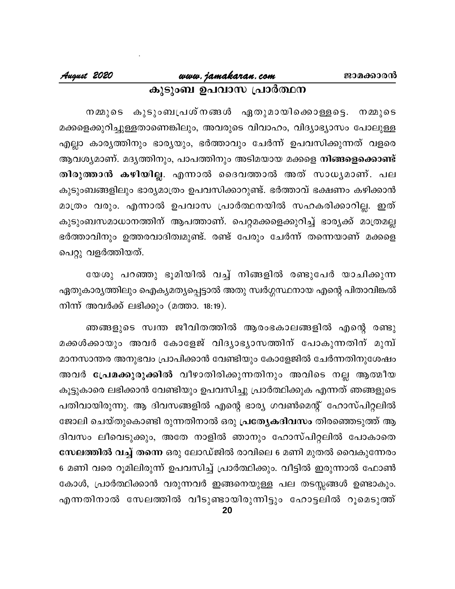# www.jamakaran.com കുടുംബ ഉപവാസ പ്രാർത്ഥന

നമ്മുടെ കുടുംബപ്രശ്നങ്ങൾ ഏതുമായിക്കൊള്ളട്ടെ. നമ്മുടെ മക്കളെക്കുറിച്ചുള്ളതാണെങ്കിലും, അവരുടെ വിവാഹം, വിദ്യാഭ്യാസം പോലുള്ള എല്ലാ കാര്യത്തിനും ഭാര്യയും, ഭർത്താവും ചേർന്ന് ഉപവസിക്കുന്നത് വളരെ ആവശ്യമാണ്. മദൃത്തിനും, പാപത്തിനും അടിമയായ മക്കളെ നിങ്ങളെക്കൊണ്ട് തിരുത്താൻ കഴിയില്ല. എന്നാൽ ദൈവത്താൽ അത് സാധ്യമാണ്. പല കുടുംബങ്ങളിലും ഭാര്യമാത്രം ഉപവസിക്കാറുണ്ട്. ഭർത്താവ് ഭക്ഷണം കഴിക്കാൻ മാത്രം വരും. എന്നാൽ ഉപവാസ പ്രാർത്ഥനയിൽ സഹകരിക്കാറില്ല. ഇത് കുടുംബസമാധാനത്തിന് ആപത്താണ്. പെറ്റമക്കളെക്കുറിച്ച് ഭാരൃക്ക് മാത്രമല്ല ഭർത്താവിനും ഉത്തരവാദിത്വമുണ്ട്. രണ്ട് പേരും ചേർന്ന് തന്നെയാണ് മക്കളെ പെറ്റു വളർത്തിയത്.

യേശു പറഞ്ഞു ഭൂമിയിൽ വച്ച് നിങ്ങളിൽ രണ്ടുപേർ യാചിക്കുന്ന ഏതുകാര്യത്തിലും ഐക്യമത്യപ്പെട്ടാൽ അതു സ്വർഗ്ഗസ്ഥനായ എന്റെ പിതാവിങ്കൽ നിന്ന് അവർക്ക് ലഭിക്കും (മത്താ. 18:19).

ഞങ്ങളുടെ സ്വന്ത ജീവിതത്തിൽ ആരംഭകാലങ്ങളിൽ എന്റെ രണ്ടു മക്കൾക്കായും അവർ കോളേജ് വിദ്യാഭ്യാസത്തിന് പോകുന്നതിന് മുമ്പ് മാനസാന്തര അനുഭവം പ്രാപിക്കാൻ വേണ്ടിയും കോളേജിൽ ചേർന്നതിനുശേഷം അവർ പ്രേമക്കുരുക്കിൽ വീഴാതിരിക്കുന്നതിനും അവിടെ നല്ല ആത്മീയ കൂട്ടുകാരെ ലഭിക്കാൻ വേണ്ടിയും ഉപവസിച്ചു പ്രാർത്ഥിക്കുക എന്നത് ഞങ്ങളുടെ പതിവായിരുന്നു. ആ ദിവസങ്ങളിൽ എന്റെ ഭാര്യ ഗവൺമെന്റ് ഹോസ്പിറ്റലിൽ ജോലി ചെയ്തുകൊണ്ടി രുന്നതിനാൽ ഒരു **പ്രത്യേകദിവസം** തിരഞ്ഞെടുത്ത് ആ ദിവസം ലീവെടുക്കും, അതേ നാളിൽ ഞാനും ഹോസ്പിറ്റലിൽ പോകാതെ സേലത്തിൽ വച്ച് തന്നെ ഒരു ലോഡ്ജിൽ രാവിലെ 6 മണി മുതൽ വൈകുന്നേരം 6 മണി വരെ റൂമിലിരുന്ന് ഉപവസിച്ച് പ്രാർത്ഥിക്കും. വീട്ടിൽ ഇരുന്നാൽ ഫോൺ കോൾ, പ്രാർത്ഥിക്കാൻ വരുന്നവർ ഇങ്ങനെയുള്ള പല തടസ്സങ്ങൾ ഉണ്ടാകും. എന്നതിനാൽ സേലത്തിൽ വീടുണ്ടായിരുന്നിട്ടും ഹോട്ടലിൽ റൂമെടുത്ത്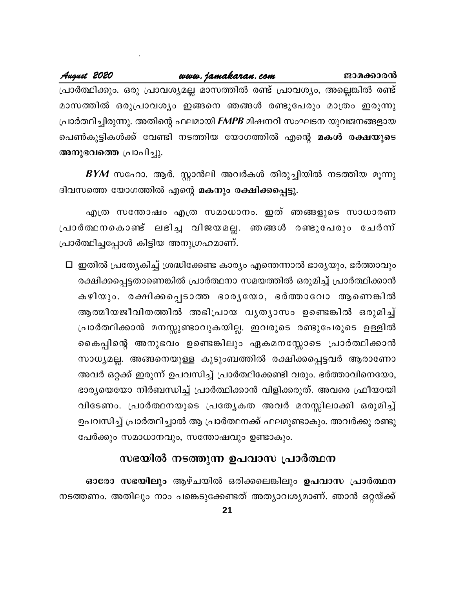മാസത്തിൽ ഒരുപ്രാവശ്യം ഇങ്ങനെ ഞങ്ങൾ രണ്ടുപേരും മാത്രം ഇരുന്നു പ്രാർത്ഥിച്ചിരുന്നു. അതിന്റെ ഫലമായി FMPB മിഷനറി സംഘടന യുവജനങ്ങളായ പെൺകുട്ടികൾക്ക് വേണ്ടി നടത്തിയ യോഗത്തിൽ എന്റെ മകൾ രക്ഷയുടെ അനുഭവത്തെ പ്രാപിച്ചു.

 $\boldsymbol{B}\boldsymbol{Y}\boldsymbol{M}$  സഹോ. ആർ. സ്റ്റാൻലി അവർകൾ തിരുച്ചിയിൽ നടത്തിയ മൂന്നു ദിവസത്തെ യോഗത്തിൽ എന്റെ മകനും രക്ഷിക്കപ്പെട്ടു.

എത്ര സന്തോഷം എത്ര സമാധാനം. ഇത് ഞങ്ങളുടെ സാധാരണ പ്രാർത്ഥനകൊണ്ട് ലഭിച്ച വിജയമല്ല. ഞങ്ങൾ രണ്ടുപേരും ചേർന്ന് പ്രാർത്ഥിച്ചപ്പോൾ കിട്ടിയ അനുഗ്രഹമാണ്.

□ ഇതിൽ പ്രത്യേകിച്ച് ശ്രദ്ധിക്കേണ്ട കാര്യം എന്തെന്നാൽ ഭാര്യയും, ഭർത്താവും രക്ഷിക്കപ്പെട്ടതാണെങ്കിൽ പ്രാർത്ഥനാ സമയത്തിൽ ഒരുമിച്ച് പ്രാർത്ഥിക്കാൻ കഴിയും. രക്ഷിക്കപ്പെടാത്ത ഭാരൃയോ, ഭർത്താവോ ആണെങ്കിൽ ആത്മീയജീവിതത്തിൽ അഭിപ്രായ വൃതൃാസം ഉണ്ടെങ്കിൽ ഒരുമിച്ച് പ്രാർത്ഥിക്കാൻ മനസ്സുണ്ടാവുകയില്ല. ഇവരുടെ രണ്ടുപേരുടെ ഉള്ളിൽ കൈപ്പിന്റെ അനുഭവം ഉണ്ടെങ്കിലും ഏകമനസ്സോടെ പ്രാർത്ഥിക്കാൻ സാധ്യമല്ല. അങ്ങനെയുള്ള കുടുംബത്തിൽ രക്ഷിക്കപ്പെട്ടവർ ആരാണോ അവർ ഒറ്റക്ക് ഇരുന്ന് ഉപവസിച്ച് പ്രാർത്ഥിക്കേണ്ടി വരും. ഭർത്താവിനെയോ, ഭാര്യയെയോ നിർബന്ധിച്ച് പ്രാർത്ഥിക്കാൻ വിളിക്കരുത്. അവരെ ഫ്രീയായി വിടേണം. പ്രാർത്ഥനയുടെ പ്രത്യേകത അവർ മനസ്സിലാക്കി ഒരുമിച്ച് ഉപവസിച്ച് പ്രാർത്ഥിച്ചാൽ ആ പ്രാർത്ഥനക്ക് ഫലമുണ്ടാകും. അവർക്കു രണ്ടു പേർക്കും സമാധാനവും, സന്തോഷവും ഉണ്ടാകും.

### സഭയിൽ നടത്തുന്ന ഉപവാസ പ്രാർത്ഥന

ഓരോ സഭയിലും ആഴ്ചയിൽ ഒരിക്കലെങ്കിലും ഉപവാസ പ്രാർത്ഥന നടത്തണം. അതിലും നാം പങ്കെടുക്കേണ്ടത് അത്യാവശ്യമാണ്. ഞാൻ ഒറ്റയ്ക്ക്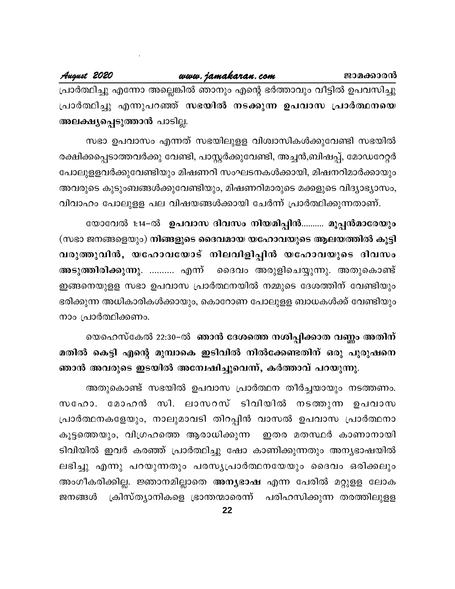പ്രാർത്ഥിച്ചു എന്നോ അല്ലെങ്കിൽ ഞാനും എന്റെ ഭർത്താവും വീട്ടിൽ ഉപവസിച്ചു പ്രാർത്ഥിച്ചു എന്നുപറഞ്ഞ് സഭയിൽ നടക്കുന്ന ഉപവാസ പ്രാർത്ഥനയെ അലക്ഷ്യപ്പെടുത്താൻ പാടില്ല.

സഭാ ഉപവാസം എന്നത് സഭയിലുളള വിശ്വാസികൾക്കുവേണ്ടി സഭയിൽ രക്ഷിക്കപ്പെടാത്തവർക്കു വേണ്ടി, പാസ്റ്റർക്കുവേണ്ടി, അച്ചൻ,ബിഷപ്പ്, മോഡറേറ്റർ പോലുളളവർക്കുവേണ്ടിയും മിഷണറി സംഘടനകൾക്കായി, മിഷനറിമാർക്കായും അവരുടെ കുടുംബങ്ങൾക്കുവേണ്ടിയും, മിഷണറിമാരുടെ മക്കളുടെ വിദ്യാഭ്യാസം, വിവാഹം പോലുളള പല വിഷയങ്ങൾക്കായി ചേർന്ന് പ്രാർത്ഥിക്കുന്നതാണ്.

യോവേൽ 1:14-ൽ ഉപവാസ ദിവസം നിയമിപ്പിൻ.......... മൂപ്പൻമാരേയും (സഭാ ജനങ്ങളെയും) നിങ്ങളുടെ ദൈവമായ യഹോവയുടെ ആലയത്തിൽ കൂട്ടി വരുത്തുവിൻ, യഹോവയോട് നിലവിളിപ്പിൻ യഹോവയുടെ ദിവസം അടുത്തിരിക്കുന്നു. .......... എന്ന് ദൈവം അരുളിചെയ്യുന്നു. അതുകൊണ്ട് ഇങ്ങനെയുളള സഭാ ഉപവാസ പ്രാർത്ഥനയിൽ നമ്മുടെ ദേശത്തിന് വേണ്ടിയും ഭരിക്കുന്ന അധികാരികൾക്കായും, കൊറോണ പോലുളള ബാധകൾക്ക് വേണ്ടിയും നാം പ്രാർത്ഥിക്കണം.

യെഹെസ്കേൽ 22:30–ൽ ഞാൻ ദേശത്തെ നശിപ്പിക്കാത വണ്ണം അതിന് മതിൽ കെട്ടി എന്റെ മുമ്പാകെ ഇടിവിൽ നിൽക്കേണ്ടതിന് ഒരു പുരുഷനെ ഞാൻ അവരുടെ ഇടയിൽ അന്വേഷിച്ചുവെന്ന്, കർത്താവ് പറയുന്നു.

അതുകൊണ്ട് സഭയിൽ ഉപവാസ പ്രാർത്ഥന തീർച്ചയായും നടത്തണം. സഹോ. മോഹൻ സി. ലാസറസ് ടിവിയിൽ നടത്തുന്ന ഉപവാസ പ്രാർത്ഥനകളേയും, നാലുമാവടി തിറപ്പിൻ വാസൽ ഉപവാസ പ്രാർത്ഥനാ കൂട്ടത്തെയും, വിഗ്രഹത്തെ ആരാധിക്കുന്ന ഇതര മതസ്ഥർ കാണാനായി ടിവിയിൽ ഇവർ കരഞ്ഞ് പ്രാർത്ഥിച്ചു ഷോ കാണിക്കുന്നതും അന്യഭാഷയിൽ ലഭിച്ചു എന്നു പറയുന്നതും പരസ്യപ്രാർത്ഥനയേയും ദൈവം ഒരിക്കലും അംഗീകരിക്കില്ല. ജ്ഞാനമില്ലാതെ അന്യഭാഷ എന്ന പേരിൽ മറ്റുളള ലോക ക്രിസ്ത്യാനികളെ ഭ്രാന്തന്മാരെന്ന് പരിഹസിക്കുന്ന തരത്തിലുളള ജനങ്ങൾ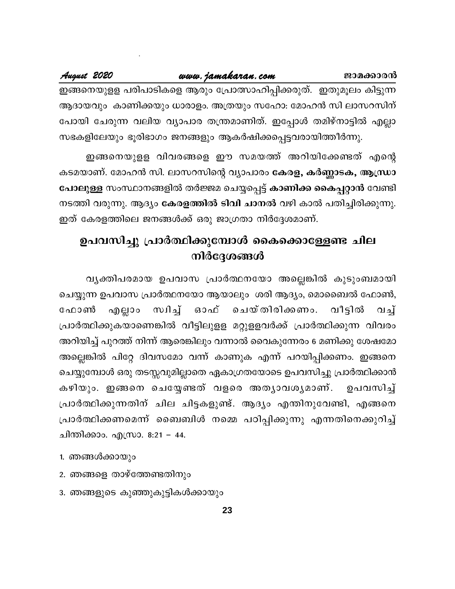ഇങ്ങനെയുളള പരിപാടികളെ ആരും പ്രോത്സാഹിപ്പിക്കരുത്. ഇതുമൂലം കിട്ടുന്ന ആദായവും കാണിക്കയും ധാരാളം. അത്രയും സഹോ: മോഹൻ സി ലാസറസിന് പോയി ചേരുന്ന വലിയ വ്യാപാര തന്ത്രമാണിത്. ഇപ്പോൾ തമിഴ്നാട്ടിൽ എല്ലാ സഭകളിലേയും ഭൂരിഭാഗം ജനങ്ങളും ആകർഷിക്കപ്പെട്ടവരായിത്തീർന്നു.

ഇങ്ങനെയുളള വിവരങ്ങളെ ഈ സമയത്ത് അറിയിക്കേണ്ടത് എന്റെ കടമയാണ്. മോഹൻ സി. ലാസറസിന്റെ വ്യാപാരം കേരള, കർണ്ണാടക, ആന്ധ്രാ പോലുള്ള സംസ്ഥാനങ്ങളിൽ തർജ്ജമ ചെയ്യപ്പെട്ട് കാണിക്ക കൈപ്പറ്റാൻ വേണ്ടി നടത്തി വരുന്നു. ആദ്യം **കേരളത്തിൽ ടിവി ചാനൽ** വഴി കാൽ പതിച്ചിരിക്കുന്നു. ഇത് കേരളത്തിലെ ജനങ്ങൾക്ക് ഒരു ജാഗ്രതാ നിർദ്ദേശമാണ്.

# ഉപവസിച്ചു പ്രാർത്ഥിക്കുമ്പോൾ കൈക്കൊള്ളേണ്ട ചില നിർദ്ദേശങ്ങൾ

വൃക്തിപരമായ ഉപവാസ പ്രാർത്ഥനയോ അല്ലെങ്കിൽ കുടുംബമായി ചെയ്യുന്ന ഉപവാസ പ്രാർത്ഥനയോ ആയാലും ശരി ആദ്യം, മൊബൈൽ ഫോൺ, സിച്ച് ഓഫ് ചെയ്തിരിക്കണം. ഫോൺ എല്ലാം വീട്ടിൽ ிவு പ്രാർത്ഥിക്കുകയാണെങ്കിൽ വീട്ടിലുളള മറ്റുളളവർക്ക് പ്രാർത്ഥിക്കുന്ന വിവരം അറിയിച്ച് പുറത്ത് നിന്ന് ആരെങ്കിലും വന്നാൽ വൈകുന്നേരം 6 മണിക്കു ശേഷമോ അല്ലെങ്കിൽ പിറ്റേ ദിവസമോ വന്ന് കാണുക എന്ന് പറയിപ്പിക്കണം. ഇങ്ങനെ ചെയ്യുമ്പോൾ ഒരു തടസ്സവുമില്ലാതെ ഏകാഗ്രതയോടെ ഉപവസിച്ചു പ്രാർത്ഥിക്കാൻ കഴിയും. ഇങ്ങനെ ചെയ്യേണ്ടത് വളരെ അത്യാവശ്യമാണ്. ഉപവസിച്ച് പ്രാർത്ഥിക്കുന്നതിന് ചില ചിട്ടകളുണ്ട്. ആദ്യം എന്തിനുവേണ്ടി, എങ്ങനെ പ്രാർത്ഥിക്കണമെന്ന് ബൈബിൾ നമ്മെ പഠിപ്പിക്കുന്നു എന്നതിനെക്കുറിച്ച് ചിന്തിക്കാം. എസ്രാ. 8:21 – 44.

- 1. ഞങ്ങൾക്കായും
- 2. ഞങ്ങളെ താഴ്ത്തേണ്ടതിനും
- 3. ഞങ്ങളുടെ കുഞ്ഞുകുട്ടികൾക്കായും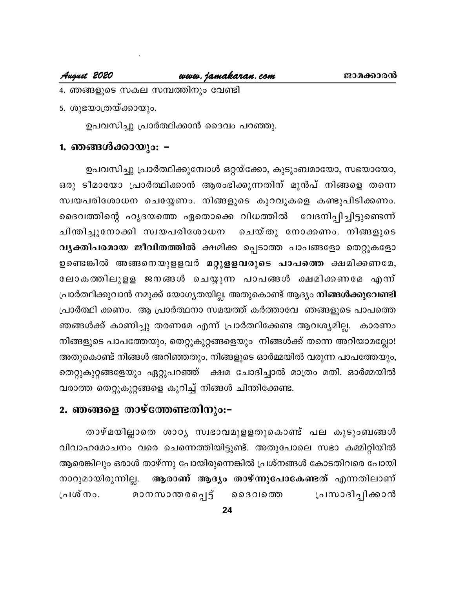### August 2020

- 4. ഞങ്ങളുടെ സകല സമ്പത്തിനും വേണ്ടി
- 5. ശുഭയാത്രയ്ക്കായും.

ഉപവസിച്ചു പ്രാർത്ഥിക്കാൻ ദൈവം പറഞ്ഞു.

# 1. ഞങ്ങൾക്കായും: **-**

ഉപവസിച്ചു പ്രാർത്ഥിക്കുമ്പോൾ ഒറ്റയ്ക്കോ, കുടുംബമായോ, സഭയായോ, ഒരു ടീമായോ പ്രാർത്ഥിക്കാൻ ആരംഭിക്കുന്നതിന് മുൻപ് നിങ്ങളെ തന്നെ സ്വയപരിശോധന ചെയ്യേണം. നിങ്ങളുടെ കുറവുകളെ കണ്ടുപിടിക്കണം. ദൈവത്തിന്റെ ഹൃദയത്തെ ഏതൊക്കെ വിധത്തിൽ വേദനിപ്പിച്ചിട്ടുണ്ടെന്ന് ചിതിച്ചുനോക്കി സ്വയപരിശോധന ചെയ്തു നോക്കണം. നിങ്ങളുടെ വൃക്തിപരമായ ജീവിതത്തിൽ ക്ഷമിക്ക പ്പെടാത്ത പാപങ്ങളോ തെറ്റുകളോ ഉണ്ടെങ്കിൽ അങ്ങനെയുളളവർ മറ്റുളളവരുടെ പാപത്തെ ക്ഷമിക്കണമേ, ലോകത്തിലുളള ജനങ്ങൾ ചെയ്യുന്ന പാപങ്ങൾ ക്ഷമിക്കണമേ എന്ന് പ്രാർത്ഥിക്കുവാൻ നമുക്ക് യോഗൃതയില്ല. അതുകൊണ്ട് ആദ്യം **നിങ്ങൾക്കുവേണ്ടി** പ്രാർത്ഥി ക്കണം. ആ പ്രാർത്ഥനാ സമയത്ത് കർത്താവേ ഞങ്ങളുടെ പാപത്തെ ഞങ്ങൾക്ക് കാണിച്ചു തരണമേ എന്ന് പ്രാർത്ഥിക്കേണ്ട ആവശ്യമില്ല. കാരണം നിങ്ങളുടെ പാപത്തേയും, തെറ്റുകുറ്റങ്ങളെയും നിങ്ങൾക്ക് തന്നെ അറിയാമല്ലോ! അതുകൊണ്ട് നിങ്ങൾ അറിഞ്ഞതും, നിങ്ങളുടെ ഓർമ്മയിൽ വരുന്ന പാപത്തേയും, തെറ്റുകുറ്റങ്ങളേയും ഏറ്റുപറഞ്ഞ് ക്ഷമ ചോദിച്ചാൽ മാത്രം മതി. ഓർമ്മയിൽ വരാത്ത തെറ്റുകുറ്റങ്ങളെ കുറിച്ച് നിങ്ങൾ ചിന്തിക്കേണ്ട.

### 2. ഞങ്ങളെ താഴ്ത്തേണ്ടതിനും:-

താഴ്മയില്ലാതെ ശാഠൃ സ്വഭാവമുളളതുകൊണ്ട് പല കുടുംബങ്ങൾ വിവാഹമോചനം വരെ ചെന്നെത്തിയിട്ടുണ്ട്. അതുപോലെ സഭാ കമ്മിറ്റിയിൽ ആരെങ്കിലും ഒരാൾ താഴ്ന്നു പോയിരുന്നെങ്കിൽ പ്രശ്നങ്ങൾ കോടതിവരെ പോയി ആരാണ് ആദ്യം താഴ്ന്നുപോകേണ്ടത് എന്നതിലാണ് നാറുമായിരുന്നില്ല. മാനസാന്തരപ്പെട്ട് ൈദവത്തെ പ്രസാദിപ്പിക്കാൻ പ്രശ്നം.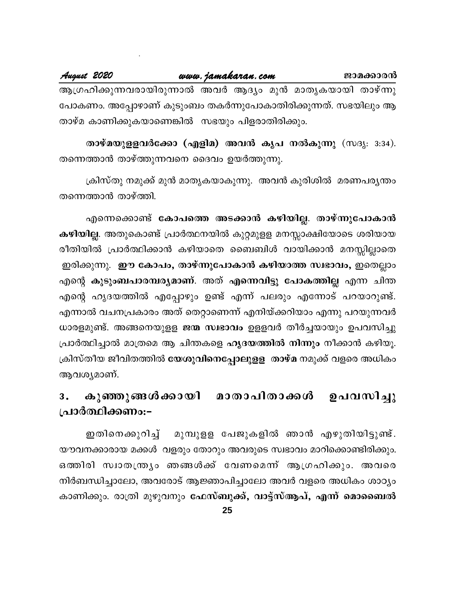www.jamakaran.com August 2020 ജാമക്കാരൻ ആഗ്രഹിക്കുന്നവരായിരുന്നാൽ അവർ ആദ്യം മുൻ മാതൃകയായി താഴ്ന്നു പോകണം. അപ്പോഴാണ് കുടുംബം തകർന്നുപോകാതിരിക്കുന്നത്. സഭയിലും ആ താഴ്മ കാണിക്കുകയാണെങ്കിൽ സഭയും പിളരാതിരിക്കും.

താഴ്മയുളളവർക്കോ (എളിമ) അവൻ കൃപ നൽകുന്നു (സദൃ<sub>: 3:34</sub>). തന്നെത്താൻ താഴ്ത്തുന്നവനെ ദൈവം ഉയർത്തുന്നു.

ക്രിസ്തു നമുക്ക് മുൻ മാതൃകയാകുന്നു. അവൻ കുരിശിൽ മരണപര്യന്തം തന്നെത്താൻ താഴ്ത്തി.

എന്നെക്കൊണ്ട് കോപത്തെ അടക്കാൻ കഴിയില്ല. താഴ്ന്നുപോകാൻ കഴിയില്ല. അതുകൊണ്ട് പ്രാർത്ഥനയിൽ കുറ്റമുളള മനസ്സാക്ഷിയോടെ ശരിയായ രീതിയിൽ പ്രാർത്ഥിക്കാൻ കഴിയാതെ ബൈബിൾ വായിക്കാൻ മനസ്സില്ലാതെ ഇരിക്കുന്നു. ഈ കോപം, താഴ്ന്നുപോകാൻ കഴിയാത്ത സ്വഭാവം, ഇതെല്ലാം എന്റെ കുടുംബപാരമ്പര്യമാണ്. അത് എന്നെവിട്ടു പോകത്തില്ല എന്ന ചിന്ത എന്റെ ഹൃദയത്തിൽ എപ്പോഴും ഉണ്ട് എന്ന് പലരും എന്നോട് പറയാറുണ്ട്. എന്നാൽ വചനപ്രകാരം അത് തെറ്റാണെന്ന് എനിയ്ക്കറിയാം എന്നു പറയുന്നവർ ധാരളമുണ്ട്. അങ്ങനെയുളള ജന്മ സ്വഭാവം ഉളളവർ തീർച്ചയായും ഉപവസിച്ചു പ്രാർത്ഥിച്ചാൽ മാത്രമെ ആ ചിന്തകളെ ഹൃദയത്തിൽ നിന്നും നീക്കാൻ കഴിയൂ. ക്രിസ്തീയ ജീവിതത്തിൽ **യേശുവിനെപ്പോലുളള** താഴ്മ നമുക്ക് വളരെ അധികം ആവശ്യമാണ്.

### കുഞ്ഞുങ്ങൾക്കായി മാതാപിതാക്കൾ ഉപവസിച്ചു 3. പ്രാർത്ഥിക്കണം:-

ഇതിനെക്കുറിച്ച് മുമ്പുളള പേജുകളിൽ ഞാൻ എഴുതിയിട്ടുണ്ട്. യൗവനക്കാരായ മക്കൾ വളരും തോറും അവരുടെ സ്വഭാവം മാറിക്കൊണ്ടിരിക്കും. ഒത്തിരി സ്വാതന്ത്ര്യം ഞങ്ങൾക്ക് വേണമെന്ന് ആഗ്രഹിക്കും. അവരെ നിർബന്ധിച്ചാലോ, അവരോട് ആജ്ഞാപിച്ചാലോ അവർ വളരെ അധികം ശാഠ്യം കാണിക്കും. രാത്രി മുഴുവനും ഫേസ്<mark>ബുക്ക്, വാട്ട്സ്ആപ്, എന്ന് മൊബൈൽ</mark>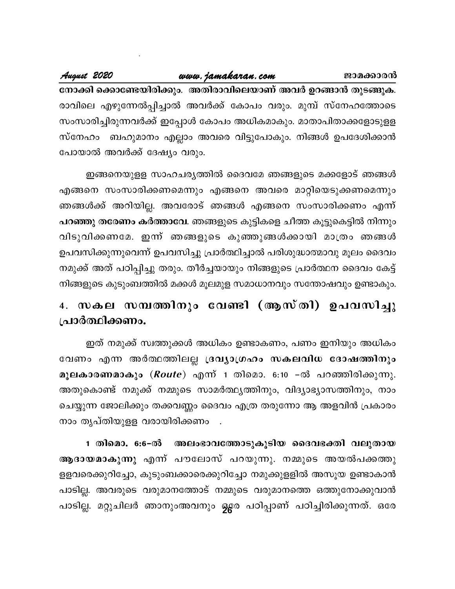August 2020

നോക്കി ക്കൊണ്ടേയിരിക്കും. അതിരാവിലെയാണ് അവർ ഉറങ്ങാൻ തുടങ്ങുക. രാവിലെ എഴുന്നേൽപ്പിച്ചാൽ അവർക്ക് കോപം വരും. മുമ്പ് സ്നേഹത്തോടെ സംസാരിച്ചിരുന്നവർക്ക് ഇപ്പോൾ കോപം അധികമാകും. മാതാപിതാക്കളോടുളള സ്നേഹം ബഹുമാനം എല്ലാം അവരെ വിട്ടുപോകും. നിങ്ങൾ ഉപദേശിക്കാൻ പോയാൽ അവർക്ക് ദേഷ്യം വരും.

www.jamakaran.com

ഇങ്ങനെയുളള സാഹചര്യത്തിൽ ദൈവമേ ഞങ്ങളുടെ മക്കളോട് ഞങ്ങൾ എങ്ങനെ സംസാരിക്കണമെന്നും എങ്ങനെ അവരെ മാറ്റിയെടുക്കണമെന്നും ഞങ്ങൾക്ക് അറിയില്ല. അവരോട് ഞങ്ങൾ എങ്ങനെ സംസാരിക്കണം എന്ന് പറഞ്ഞു തരേണം കർത്താവേ. ഞങ്ങളുടെ കുട്ടികളെ ചീത്ത കൂട്ടുകെട്ടിൽ നിന്നും വിടുവിക്കണമേ. ഇന്ന് ഞങ്ങളുടെ കുഞ്ഞുങ്ങൾക്കായി മാത്രം ഞങ്ങൾ ഉപവസിക്കുന്നുവെന്ന് ഉപവസിച്ചു പ്രാർത്ഥിച്ചാൽ പരിശുദ്ധാത്മാവു മൂലം ദൈവം നമുക്ക് അത് പഠിപ്പിച്ചു തരും. തീർച്ചയായും നിങ്ങളുടെ പ്രാർത്ഥന ദൈവം കേട്ട് നിങ്ങളുടെ കുടുംബത്തിൽ മക്കൾ മൂലമുള സമാധാനവും സന്തോഷവും ഉണ്ടാകും.

# 4. സകല സമ്പത്തിനും വേണ്ടി (ആസ്തി) ഉപവസിച്ചു പ്രാർത്ഥിക്കണം.

ഇത് നമുക്ക് സ്വത്തുക്കൾ അധികം ഉണ്ടാകണം, പണം ഇനിയും അധികം വേണം എന്ന അർത്ഥത്തിലല്ല ദ്രവ്യാഗ്രഹം സകലവിധ ദോഷത്തിനും മൂലകാരണമാകും (*Route*) എന്ന 1 തിമൊ. 6:10 −ൽ പറഞ്ഞിരിക്കുന്നു. അതുകൊണ്ട് നമുക്ക് നമ്മുടെ സാമർത്ഥ്യത്തിനും, വിദ്യാഭ്യാസത്തിനും, നാം ചെയ്യുന്ന ജോലിക്കും തക്കവണ്ണം ദൈവം എത്ര തരുന്നോ ആ അളവിൻ പ്രകാരം നാം തൃപ്തിയുളള വരായിരിക്കണം .

ആദായമാകുന്നു എന്ന് പൗലോസ് പറയുന്നു. നമ്മുടെ അയൽപക്കത്തു ളളവരെക്കുറിച്ചോ, കുടുംബക്കാരെക്കുറിച്ചോ നമുക്കുളളിൽ അസൂയ ഉണ്ടാകാൻ പാടില്ല. അവരുടെ വരുമാനത്തോട് നമ്മുടെ വരുമാനത്തെ ഒത്തുനോക്കുവാൻ പാടില്ല. മറ്റുചിലർ ഞാനുംഅവനും ഒ⁄േര പഠിപ്പാണ് പഠിച്ചിരിക്കുന്നത്. ഒരേ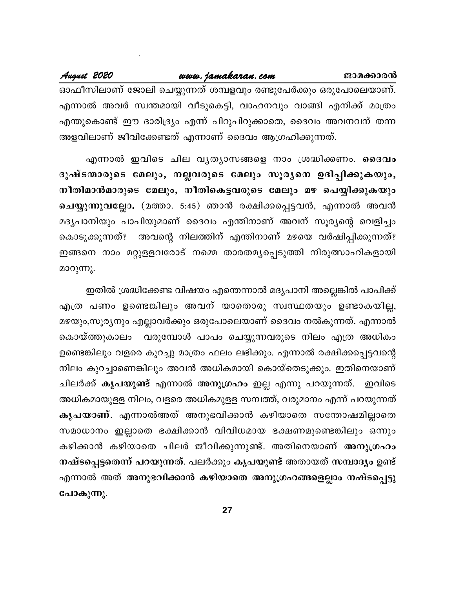എന്നാൽ അവർ സ്വന്തമായി വീടുകെട്ടി, വാഹനവും വാങ്ങി എനിക്ക് മാത്രം എന്തുകൊണ്ട് ഈ ദാരിദ്ര്യം എന്ന് പിറുപിറുക്കാതെ, ദൈവം അവനവന് തന്ന അളവിലാണ് ജീവിക്കേണ്ടത് എന്നാണ് ദൈവം ആഗ്രഹിക്കുന്നത്.

എന്നാൽ ഇവിടെ ചില വൃത്യാസങ്ങളെ നാം ശ്രദ്ധിക്കണം. ദൈവം ദുഷ്ടന്മാരുടെ മേലും, നല്ലവരുടെ മേലും സൂര്യനെ ഉദിപ്പിക്കുകയും, നീതിമാൻമാരുടെ മേലും, നീതികെട്ടവരുടെ മേലും മഴ പെയ്യിക്കുകയും ചെയ്യുന്നുവല്ലോ. (മത്താ. 5:45) ഞാൻ രക്ഷിക്കപ്പെട്ടവൻ, എന്നാൽ അവൻ മദ്യപാനിയും പാപിയുമാണ് ദൈവം എന്തിനാണ് അവന് സൂര്യന്റെ വെളിച്ചം കൊടുക്കുന്നത്? അവന്റെ നിലത്തിന് എന്തിനാണ് മഴയെ വർഷിപ്പിക്കുന്നത്? ഇങ്ങനെ നാം മറ്റുളളവരോട് നമ്മെ താരതമൃപ്പെടുത്തി നിരുത്സാഹികളായി മാറുന്നു.

ഇതിൽ ശ്രദ്ധിക്കേണ്ട വിഷയം എന്തെന്നാൽ മദൃപാനി അല്ലെങ്കിൽ പാപിക്ക് എത്ര പണം ഉണ്ടെങ്കിലും അവന് യാതൊരു സ്വസ്ഥതയും ഉണ്ടാകയില്ല, മഴയും,സൂര്യനും എല്ലാവർക്കും ഒരുപോലെയാണ് ദൈവം നൽകുന്നത്. എന്നാൽ കൊയ്ത്തുകാലം വരുമ്പോൾ പാപം ചെയ്യുന്നവരുടെ നിലം എത്ര അധികം ഉണ്ടെങ്കിലും വളരെ കുറച്ചു മാത്രം ഫലം ലഭിക്കും. എന്നാൽ രക്ഷിക്കപ്പെട്ടവന്റെ നിലം കുറച്ചാണെങ്കിലും അവൻ അധികമായി കൊയ്തെടുക്കും. ഇതിനെയാണ് ചിലർക്ക് കൃപയുണ്ട് എന്നാൽ അനുഗ്രഹം ഇല്ല എന്നു പറയുന്നത്. ഇവിടെ അധികമായുളള നിലം, വളരെ അധികമുളള സമ്പത്ത്, വരുമാനം എന്ന് പറയുന്നത് കൃപയാണ്. എന്നാൽഅത് അനുഭവിക്കാൻ കഴിയാതെ സന്തോഷമില്ലാതെ സമാധാനം ഇല്ലാതെ ഭക്ഷിക്കാൻ വിവിധമായ ഭക്ഷണമുണ്ടെങ്കിലും ഒന്നും കഴിക്കാൻ കഴിയാതെ ചിലർ ജീവിക്കുന്നുണ്ട്. അതിനെയാണ് <mark>അനുഗ്രഹം</mark> നഷ്ടപ്പെട്ടതെന്ന് പറയുന്നത്. പലർക്കും കൃപയുണ്ട് അതായത് സമ്പാദ്യം ഉണ്ട് എന്നാൽ അത് അനുഭവിക്കാൻ കഴിയാതെ അനുഗ്രഹങ്ങളെല്ലാം നഷ്ടപ്പെട്ടു പോകുന്നു.

27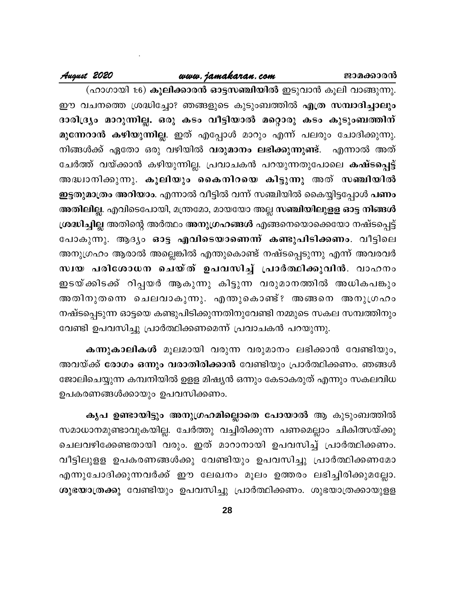### ജാമക്കാരൻ

### www.jamakaran.com

# August 2020

(ഹാഗായി 1:6) **കൂലിക്കാരൻ ഓട്ടസഞ്ചിയിൽ** ഇടുവാൻ കൂലി വാങ്ങുന്നു. ഈ വചനത്തെ ശ്രദ്ധിച്ചോ? ഞങ്ങളുടെ കുടുംബത്തിൽ എത്ര സമ്പാദിച്ചാലും ദാരിദ്ര്യം മാറുന്നില്ല. ഒരു കടം വീട്ടിയാൽ മറ്റൊരു കടം കുടുംബത്തിന് മുന്നേറാൻ കഴിയുന്നില്ല. ഇത് എപ്പോൾ മാറും എന്ന് പലരും ചോദിക്കുന്നു. നിങ്ങൾക്ക് ഏതോ ഒരു വഴിയിൽ <mark>വരുമാനം ലഭിക്കുന്നുണ്ട്</mark>. എന്നാൽ അത് ചേർത്ത് വയ്ക്കാൻ കഴിയുന്നില്ല. പ്രവാചകൻ പറയുന്നതുപോലെ കഷ്ടപ്പെട്ട് അദ്ധ്വാനിക്കുന്നു. കൂലിയും കൈനിറയെ കിട്ടുന്നു അത് സഞ്ചിയിൽ ഇട്ടതുമാത്രം അറിയാം. എന്നാൽ വീട്ടിൽ വന്ന് സഞ്ചിയിൽ കൈയ്യിട്ടപ്പോൾ പണം അതിലില്ല. എവിടെപോയി, മന്ത്രമോ, മായയോ അല്ല സഞ്ചിയിലുളള ഓട്ട നിങ്ങൾ ശ്രദ്ധിച്ചില്ല അതിന്റെ അർത്ഥം അനുഗ്രഹങ്ങൾ എങ്ങനെയൊക്കെയോ നഷ്ടപ്പെട്ട് പോകുന്നു. ആദ്യം ഓട്ട എവിടെയാണെന്ന് കണ്ടുപിടിക്കണം. വീട്ടിലെ അനുഗ്രഹം ആരാൽ അല്ലെങ്കിൽ എന്തുകൊണ്ട് നഷ്ടപ്പെടുന്നു എന്ന് അവരവർ സ്വയ പരിശോധന ചെയ്ത് ഉപവസിച്ച് പ്രാർത്ഥിക്കുവിൻ. വാഹനം ഇടയ്ക്കിടക്ക് റിപ്പയർ ആകുന്നു കിട്ടുന്ന വരുമാനത്തിൽ അധികപങ്കും അതിനുതന്നെ ചെലവാകുന്നു. എന്തുകൊണ്ട്? അങ്ങനെ അനുഗ്രഹം നഷ്ടപ്പെടുന്ന ഓട്ടയെ കണ്ടുപിടിക്കുന്നതിനുവേണ്ടി നമ്മുടെ സകല സമ്പത്തിനും വേണ്ടി ഉപവസിച്ചു പ്രാർത്ഥിക്കണമെന്ന് പ്രവാചകൻ പറയുന്നു.

കന്നുകാലികൾ മൂലമായി വരുന്ന വരുമാനം ലഭിക്കാൻ വേണ്ടിയും, അവയ്ക്ക് രോഗം ഒന്നും വരാതിരിക്കാൻ വേണ്ടിയും പ്രാർത്ഥിക്കണം. ഞങ്ങൾ ജോലിചെയ്യുന്ന കമ്പനിയിൽ ഉളള മിഷ്യൻ ഒന്നും കേടാകരുത് എന്നും സകലവിധ ഉപകരണങ്ങൾക്കായും ഉപവസിക്കണം.

കൃപ ഉണ്ടായിട്ടും അനുഗ്രഹമില്ലൊതെ പോയാൽ ആ കുടുംബത്തിൽ സമാധാനമുണ്ടാവുകയില്ല. ചേർത്തു വച്ചിരിക്കുന്ന പണമെല്ലാം ചികിത്സയ്ക്കു ചെലവഴിക്കേണ്ടതായി വരും. ഇത് മാറാനായി ഉപവസിച്ച് പ്രാർത്ഥിക്കണം. വീട്ടിലുളള ഉപകരണങ്ങൾക്കു വേണ്ടിയും ഉപവസിച്ചു പ്രാർത്ഥിക്കണമോ എന്നുചോദിക്കുന്നവർക്ക് ഈ ലേഖനം മൂലം ഉത്തരം ലഭിച്ചിരിക്കുമല്ലോ. ശുഭയാത്രക്കു വേണ്ടിയും ഉപവസിച്ചു പ്രാർത്ഥിക്കണം. ശുഭയാത്രക്കായുളള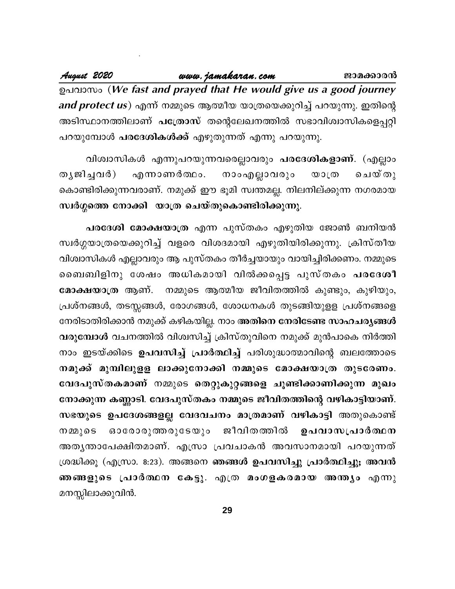August 2020 www.jamakaran.com ജാമക്കാരൻ ഉപവാസം (We fast and prayed that He would give us a good journey *and protect us*) എന്ന് നമ്മുടെ ആത്മീയ യാത്രയെക്കുറിച്ച് പറയുന്നു. ഇതിന്റെ അടിസ്ഥാനത്തിലാണ് പത്രോസ് തന്റെലേഖനത്തിൽ സഭാവിശ്വാസികളെപ്പറ്റി പറയുമ്പോൾ **പരദേശികൾക്ക്** എഴുതുന്നത് എന്നു പറയുന്നു.

വിശ്വാസികൾ എന്നുപറയുന്നവരെല്ലാവരും **പരദേശികളാണ്**. (എല്ലാം നാംഎല്ലാവരും തൃജിച്ചവർ) എന്നാണർത്ഥം. ചെയ്തു  $\omega$ ා (ග കൊണ്ടിരിക്കുന്നവരാണ്. നമുക്ക് ഈ ഭൂമി സ്വന്തമല്ല. നിലനില്ക്കുന്ന നഗരമായ സ്വർഗ്ഗത്തെ നോക്കി യാത്ര ചെയ്തുകൊണ്ടിരിക്കുന്നു.

പരദേശി മോക്ഷയാത്ര എന്ന പുസ്തകം എഴുതിയ ജോൺ ബനിയൻ സ്വർഗ്ഗയാത്രയെക്കുറിച്ച് വളരെ വിശദമായി എഴുതിയിരിക്കുന്നു. ക്രിസ്തീയ വിശ്വാസികൾ എല്ലാവരും ആ പുസ്തകം തീർച്ചയായും വായിച്ചിരിക്കണം. നമ്മുടെ ബൈബിളിനു ശേഷം അധികമായി വിൽക്കപ്പെട്ട പുസ്തകം പരദേശീ മോക്ഷയാത്ര ആണ്. നമ്മുടെ ആത്മീയ ജീവിതത്തിൽ കുണ്ടും, കുഴിയും, പ്രശ്നങ്ങൾ, തടസ്സങ്ങൾ, രോഗങ്ങൾ, ശോധനകൾ തുടങ്ങിയുളള പ്രശ്നങ്ങളെ നേരിടാതിരിക്കാൻ നമുക്ക് കഴികയില്ല. നാം അതിനെ നേരിടേണ്ട സാഹചര്യങ്ങൾ വരുമ്പോൾ വചനത്തിൽ വിശ്വസിച്ച് ക്രിസ്തുവിനെ നമുക്ക് മുൻപാകെ നിർത്തി നാം ഇടയ്ക്കിടെ ഉപവസിച്ച് പ്രാർത്ഥിച്ച് പരിശുദ്ധാത്മാവിന്റെ ബലത്തോടെ നമുക്ക് മുമ്പിലുളള ലാക്കുനോക്കി നമ്മുടെ മോക്ഷയാത്ര തുടരേണം. വേദപുസ്തകമാണ് നമ്മുടെ തെറ്റുകുറ്റങ്ങളെ ചൂണ്ടിക്കാണിക്കുന്ന മുഖം നോക്കുന്ന കണ്ണാടി. വേദപുസ്തകം നമ്മുടെ ജീവിതത്തിന്റെ വഴികാട്ടിയാണ്. സഭയുടെ ഉപദേശങ്ങളല്ല വേദവചനം മാത്രമാണ് വഴികാട്ടി അതുകൊണ്ട് ഓരോരുത്തരുടേയു<u>ം</u> ജീവിതത്തിൽ നമ്മുടെ ഉപവാസപ്രാർത്ഥന അതൃന്താപേക്ഷിതമാണ്. എസ്രാ പ്രവചാകൻ അവസാനമായി പറയുന്നത് ശ്രദ്ധിക്കൂ (എസ്രാ. 8:23). അങ്ങനെ ഞങ്ങൾ ഉപവസിച്ചു പ്രാർത്ഥിച്ചു; അവൻ ഞങ്ങളുടെ പ്രാർത്ഥന കേട്ടു. എത്ര മംഗളകരമായ അന്ത്യം എന്നു മനസ്സിലാക്കുവിൻ.

29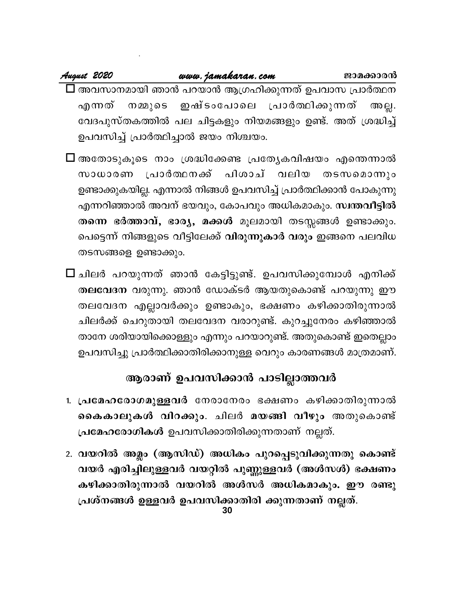### www.jamakaran.com August 2020 ജാമക്കാരൻ  $\Box$  അവസാനമായി ഞാൻ പറയാൻ ആഗ്രഹിക്കുന്നത് ഉപവാസ പ്രാർത്ഥന ഇഷ്ടാപോലെ പ്രാർത്ഥിക്കുന്നത് എന്നത് നമ്മുടെ അല്ല. വേദപുസ്തകത്തിൽ പല ചിട്ടകളും നിയമങ്ങളും ഉണ്ട്. അത് ശ്രദ്ധിച്ച് ഉപവസിച്ച് പ്രാർത്ഥിച്ചാൽ ജയം നിശ്ചയം.

- $\Box$  അതോടുകൂടെ നാം ശ്രദ്ധിക്കേണ്ട പ്രത്യേകവിഷയം എന്തെന്നാൽ പിശാച് വലിയ സാധാരണ പ്രാർത്ഥനക്ക് തടസമൊന്നും ഉണ്ടാക്കുകയില്ല. എന്നാൽ നിങ്ങൾ ഉപവസിച്ച് പ്രാർത്ഥിക്കാൻ പോകുന്നു എന്നറിഞ്ഞാൽ അവന് ഭയവും, കോപവും അധികമാകും. സ്ഥതവീട്ടിൽ തന്നെ ഭർത്താവ്, ഭാര്യ, മക്കൾ മൂലമായി തടസ്സങ്ങൾ ഉണ്ടാക്കും. പെട്ടെന്ന് നിങ്ങളുടെ വീട്ടിലേക്ക് <mark>വിരുന്നുകാർ വരും</mark> ഇങ്ങനെ പലവിധ തടസങ്ങളെ ഉണ്ടാക്കും.
- $\square$  ചിലർ പറയുന്നത് ഞാൻ കേട്ടിട്ടുണ്ട്. ഉപവസിക്കുമ്പോൾ എനിക്ക് തലവേദന വരുന്നു. ഞാൻ ഡോക്ടർ ആയതുകൊണ്ട് പറയുന്നു ഈ തലവേദന എല്ലാവർക്കും ഉണ്ടാകും, ഭക്ഷണം കഴിക്കാതിരുന്നാൽ ചിലർക്ക് ചെറുതായി തലവേദന വരാറുണ്ട്. കുറച്ചുനേരം കഴിഞ്ഞാൽ താനേ ശരിയായിക്കൊള്ളും എന്നും പറയാറുണ്ട്. അതുകൊണ്ട് ഇതെല്ലാം ഉപവസിച്ചു പ്രാർത്ഥിക്കാതിരിക്കാനുള്ള വെറും കാരണങ്ങൾ മാത്രമാണ്.

# ആരാണ് ഉപവസിക്കാൻ പാടില്ലാത്തവർ

- 1. പ്രമേഹരോഗമുള്ളവർ നേരാനേരം ഭക്ഷണം കഴിക്കാതിരുന്നാൽ കൈകാലുകൾ വിറക്കും. ചിലർ മയങ്ങി വീഴും അതുകൊണ്ട് പ്രമേഹരോഗികൾ ഉപവസിക്കാതിരിക്കുന്നതാണ് നല്ലത്.
- 2. വയറിൽ അമ്ലം (ആസിഡ്) അധികം പുറപ്പെടുവിക്കുന്നതു കൊണ്ട് വയർ എരിച്ചിലുള്ളവർ വയറ്റിൽ പുണ്ണുള്ളവർ (അൾസൾ) ഭക്ഷണം കഴിക്കാതിരുന്നാൽ വയറിൽ അൾസർ അധികമാകും. ഈ രണ്ടു പ്രശ്നങ്ങൾ ഉള്ളവർ ഉപവസിക്കാതിരി ക്കുന്നതാണ് നല്ലത്.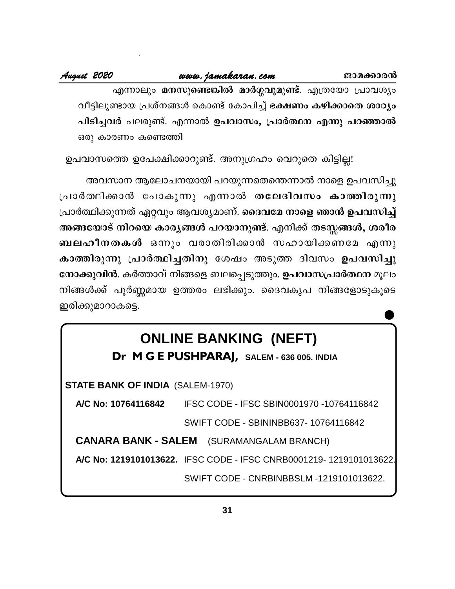എന്നാലും മനസുണ്ടെങ്കിൽ മാർഗ്ഗവുമുണ്ട്. എത്രയോ പ്രാവശ്യം വീട്ടിലുണ്ടായ പ്രശ്നങ്ങൾ കൊണ്ട് കോപിച്ച് ഭക്ഷണം കഴിക്കാതെ ശാഠ്യം പിടിച്ചവർ പലരുണ്ട്. എന്നാൽ ഉപവാസം, പ്രാർത്ഥന എന്നു പറഞ്ഞാൽ ഒരു കാരണം കണ്ടെത്തി

ഉപവാസത്തെ ഉപേക്ഷിക്കാറുണ്ട്. അനുഗ്രഹം വെറുതെ കിട്ടില്ല!

അവസാന ആലോചനയായി പറയുന്നതെന്തെന്നാൽ നാളെ ഉപവസിച്ചു പ്രാർത്ഥിക്കാൻ പോകുന്നു എന്നാൽ തലേദിവസം കാത്തിരുന്നു പ്രാർത്ഥിക്കുന്നത് ഏറ്റവും ആവശ്യമാണ്. ദൈവമേ നാളെ ഞാൻ ഉപവസിച്ച് അങ്ങയോട് നിറയെ കാരൃങ്ങൾ പറയാനുണ്ട്. എനിക്ക് തടസ്കങ്ങൾ, ശരീര ബലഹീനതകൾ ഒന്നും വരാതിരിക്കാൻ സഹായിക്കണമേ എന്നു കാത്തിരുന്നു പ്രാർത്ഥിച്ചതിനു ശേഷം അടുത്ത ദിവസം ഉപവസിച്ചു നോക്കുവിൻ. കർത്താവ് നിങ്ങളെ ബലപ്പെടുത്തും. ഉപവാസപ്രാർത്ഥന മൂലം നിങ്ങൾക്ക് പൂർണ്ണമായ ഉത്തരം ലഭിക്കും. ദൈവകൃപ നിങ്ങളോടുകൂടെ ഇരിക്കുമാറാകട്ടെ.

# **ONLINE BANKING (NEFT)**

Dr M G E PUSHPARAJ, SALEM - 636 005. INDIA

**STATE BANK OF INDIA (SALEM-1970)** 

IFSC CODE - IFSC SBIN0001970 -10764116842 A/C No: 10764116842 SWIFT CODE - SBININBB637-10764116842

**CANARA BANK - SALEM** (SURAMANGALAM BRANCH)

A/C No: 1219101013622. IFSC CODE - IFSC CNRB0001219-1219101013622.

SWIFT CODE - CNRBINBBSLM -1219101013622.